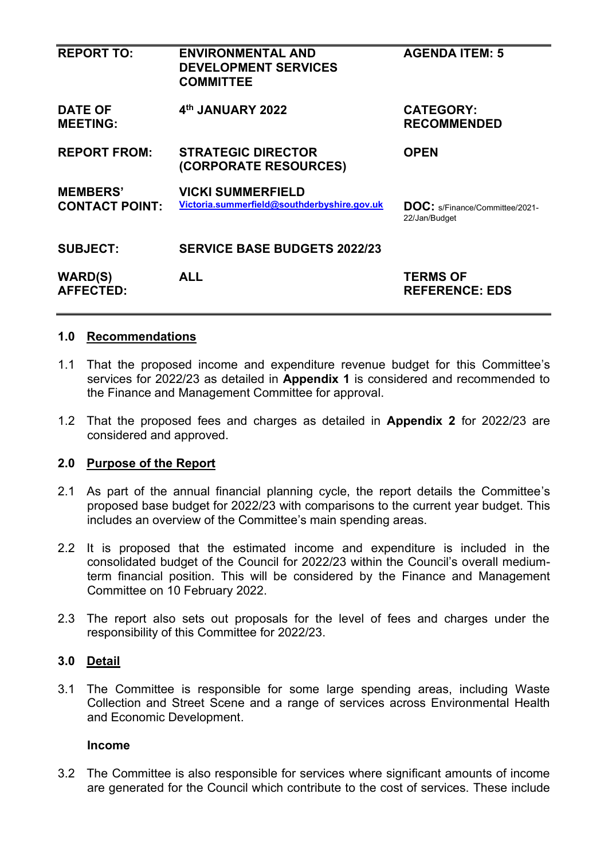| <b>REPORT TO:</b>                        | <b>ENVIRONMENTAL AND</b><br><b>DEVELOPMENT SERVICES</b><br><b>COMMITTEE</b> | <b>AGENDA ITEM: 5</b>                                  |
|------------------------------------------|-----------------------------------------------------------------------------|--------------------------------------------------------|
| <b>DATE OF</b><br><b>MEETING:</b>        | 4th JANUARY 2022                                                            | <b>CATEGORY:</b><br><b>RECOMMENDED</b>                 |
| <b>REPORT FROM:</b>                      | <b>STRATEGIC DIRECTOR</b><br>(CORPORATE RESOURCES)                          | <b>OPEN</b>                                            |
| <b>MEMBERS'</b><br><b>CONTACT POINT:</b> | <b>VICKI SUMMERFIELD</b><br>Victoria.summerfield@southderbyshire.gov.uk     | <b>DOC:</b> s/Finance/Committee/2021-<br>22/Jan/Budget |
| <b>SUBJECT:</b>                          | <b>SERVICE BASE BUDGETS 2022/23</b>                                         |                                                        |
| <b>WARD(S)</b><br><b>AFFECTED:</b>       | <b>ALL</b>                                                                  | <b>TERMS OF</b><br><b>REFERENCE: EDS</b>               |

#### **1.0 Recommendations**

- 1.1 That the proposed income and expenditure revenue budget for this Committee's services for 2022/23 as detailed in **Appendix 1** is considered and recommended to the Finance and Management Committee for approval.
- 1.2 That the proposed fees and charges as detailed in **Appendix 2** for 2022/23 are considered and approved.

#### **2.0 Purpose of the Report**

- 2.1 As part of the annual financial planning cycle, the report details the Committee's proposed base budget for 2022/23 with comparisons to the current year budget. This includes an overview of the Committee's main spending areas.
- 2.2 It is proposed that the estimated income and expenditure is included in the consolidated budget of the Council for 2022/23 within the Council's overall mediumterm financial position. This will be considered by the Finance and Management Committee on 10 February 2022.
- 2.3 The report also sets out proposals for the level of fees and charges under the responsibility of this Committee for 2022/23.

#### **3.0 Detail**

3.1 The Committee is responsible for some large spending areas, including Waste Collection and Street Scene and a range of services across Environmental Health and Economic Development.

#### **Income**

3.2 The Committee is also responsible for services where significant amounts of income are generated for the Council which contribute to the cost of services. These include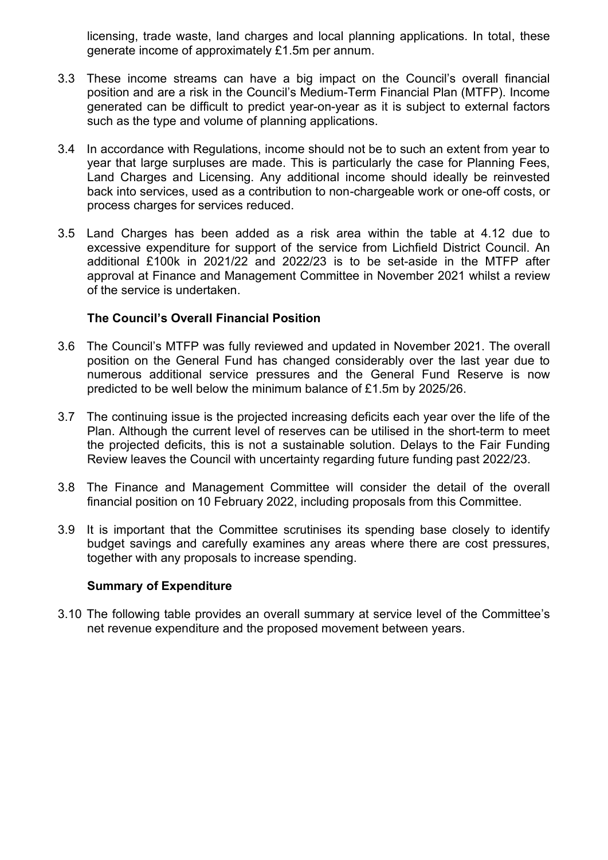licensing, trade waste, land charges and local planning applications. In total, these generate income of approximately £1.5m per annum.

- 3.3 These income streams can have a big impact on the Council's overall financial position and are a risk in the Council's Medium-Term Financial Plan (MTFP). Income generated can be difficult to predict year-on-year as it is subject to external factors such as the type and volume of planning applications.
- 3.4 In accordance with Regulations, income should not be to such an extent from year to year that large surpluses are made. This is particularly the case for Planning Fees, Land Charges and Licensing. Any additional income should ideally be reinvested back into services, used as a contribution to non-chargeable work or one-off costs, or process charges for services reduced.
- 3.5 Land Charges has been added as a risk area within the table at 4.12 due to excessive expenditure for support of the service from Lichfield District Council. An additional £100k in 2021/22 and 2022/23 is to be set-aside in the MTFP after approval at Finance and Management Committee in November 2021 whilst a review of the service is undertaken.

#### **The Council's Overall Financial Position**

- 3.6 The Council's MTFP was fully reviewed and updated in November 2021. The overall position on the General Fund has changed considerably over the last year due to numerous additional service pressures and the General Fund Reserve is now predicted to be well below the minimum balance of £1.5m by 2025/26.
- 3.7 The continuing issue is the projected increasing deficits each year over the life of the Plan. Although the current level of reserves can be utilised in the short-term to meet the projected deficits, this is not a sustainable solution. Delays to the Fair Funding Review leaves the Council with uncertainty regarding future funding past 2022/23.
- 3.8 The Finance and Management Committee will consider the detail of the overall financial position on 10 February 2022, including proposals from this Committee.
- 3.9 It is important that the Committee scrutinises its spending base closely to identify budget savings and carefully examines any areas where there are cost pressures, together with any proposals to increase spending.

#### **Summary of Expenditure**

3.10 The following table provides an overall summary at service level of the Committee's net revenue expenditure and the proposed movement between years.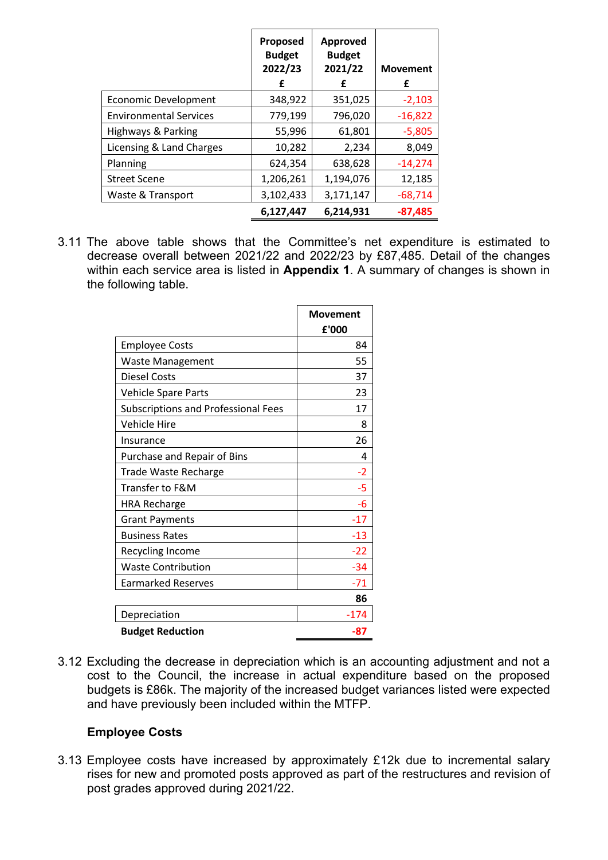|                               | Proposed<br><b>Budget</b><br>2022/23<br>£ | Approved<br><b>Budget</b><br>2021/22<br>£ | <b>Movement</b><br>£ |
|-------------------------------|-------------------------------------------|-------------------------------------------|----------------------|
| <b>Economic Development</b>   | 348,922                                   | 351,025                                   | $-2,103$             |
| <b>Environmental Services</b> | 779,199                                   | 796,020                                   | $-16,822$            |
| Highways & Parking            | 55,996                                    | 61,801                                    | $-5,805$             |
| Licensing & Land Charges      | 10,282                                    | 2,234                                     | 8,049                |
| Planning                      | 624,354                                   | 638,628                                   | $-14,274$            |
| <b>Street Scene</b>           | 1,206,261                                 | 1,194,076                                 | 12,185               |
| Waste & Transport             | 3,102,433                                 | 3,171,147                                 | $-68,714$            |
|                               | 6,127,447                                 | 6,214,931                                 | $-87,485$            |

3.11 The above table shows that the Committee's net expenditure is estimated to decrease overall between 2021/22 and 2022/23 by £87,485. Detail of the changes within each service area is listed in **Appendix 1**. A summary of changes is shown in the following table.

|                                            | <b>Movement</b><br>£'000 |
|--------------------------------------------|--------------------------|
| <b>Employee Costs</b>                      | 84                       |
| <b>Waste Management</b>                    | 55                       |
| Diesel Costs                               | 37                       |
| <b>Vehicle Spare Parts</b>                 | 23                       |
| <b>Subscriptions and Professional Fees</b> | 17                       |
| <b>Vehicle Hire</b>                        | 8                        |
| Insurance                                  | 26                       |
| Purchase and Repair of Bins                | 4                        |
| <b>Trade Waste Recharge</b>                | $-2$                     |
| <b>Transfer to F&amp;M</b>                 | -5                       |
| <b>HRA Recharge</b>                        | -6                       |
| <b>Grant Payments</b>                      | $-17$                    |
| <b>Business Rates</b>                      | $-13$                    |
| Recycling Income                           | $-22$                    |
| <b>Waste Contribution</b>                  | $-34$                    |
| <b>Earmarked Reserves</b>                  | $-71$                    |
|                                            | 86                       |
| Depreciation                               | -174                     |
| <b>Budget Reduction</b>                    | -87                      |

3.12 Excluding the decrease in depreciation which is an accounting adjustment and not a cost to the Council, the increase in actual expenditure based on the proposed budgets is £86k. The majority of the increased budget variances listed were expected and have previously been included within the MTFP.

#### **Employee Costs**

3.13 Employee costs have increased by approximately £12k due to incremental salary rises for new and promoted posts approved as part of the restructures and revision of post grades approved during 2021/22.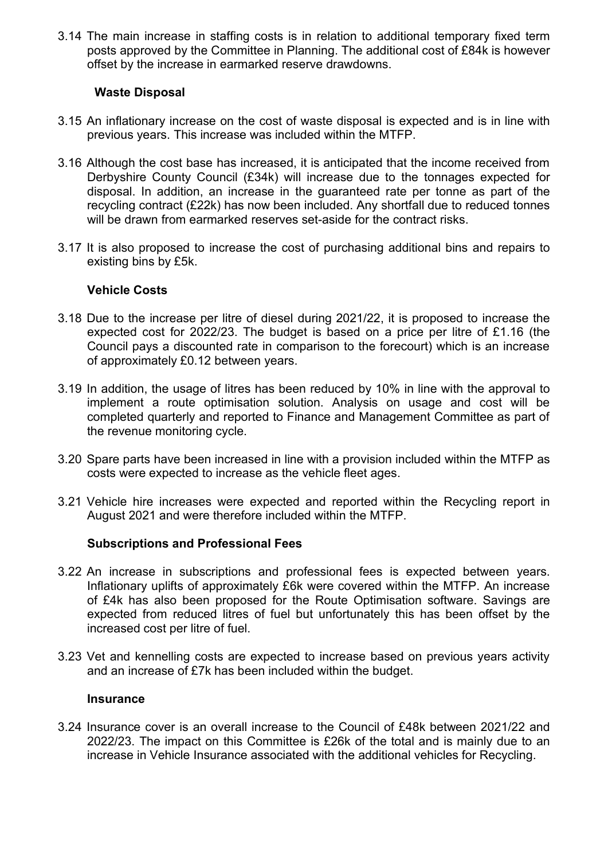3.14 The main increase in staffing costs is in relation to additional temporary fixed term posts approved by the Committee in Planning. The additional cost of £84k is however offset by the increase in earmarked reserve drawdowns.

#### **Waste Disposal**

- 3.15 An inflationary increase on the cost of waste disposal is expected and is in line with previous years. This increase was included within the MTFP.
- 3.16 Although the cost base has increased, it is anticipated that the income received from Derbyshire County Council (£34k) will increase due to the tonnages expected for disposal. In addition, an increase in the guaranteed rate per tonne as part of the recycling contract (£22k) has now been included. Any shortfall due to reduced tonnes will be drawn from earmarked reserves set-aside for the contract risks.
- 3.17 It is also proposed to increase the cost of purchasing additional bins and repairs to existing bins by £5k.

#### **Vehicle Costs**

- 3.18 Due to the increase per litre of diesel during 2021/22, it is proposed to increase the expected cost for 2022/23. The budget is based on a price per litre of £1.16 (the Council pays a discounted rate in comparison to the forecourt) which is an increase of approximately £0.12 between years.
- 3.19 In addition, the usage of litres has been reduced by 10% in line with the approval to implement a route optimisation solution. Analysis on usage and cost will be completed quarterly and reported to Finance and Management Committee as part of the revenue monitoring cycle.
- 3.20 Spare parts have been increased in line with a provision included within the MTFP as costs were expected to increase as the vehicle fleet ages.
- 3.21 Vehicle hire increases were expected and reported within the Recycling report in August 2021 and were therefore included within the MTFP.

#### **Subscriptions and Professional Fees**

- 3.22 An increase in subscriptions and professional fees is expected between years. Inflationary uplifts of approximately £6k were covered within the MTFP. An increase of £4k has also been proposed for the Route Optimisation software. Savings are expected from reduced litres of fuel but unfortunately this has been offset by the increased cost per litre of fuel.
- 3.23 Vet and kennelling costs are expected to increase based on previous years activity and an increase of £7k has been included within the budget.

#### **Insurance**

3.24 Insurance cover is an overall increase to the Council of £48k between 2021/22 and 2022/23. The impact on this Committee is £26k of the total and is mainly due to an increase in Vehicle Insurance associated with the additional vehicles for Recycling.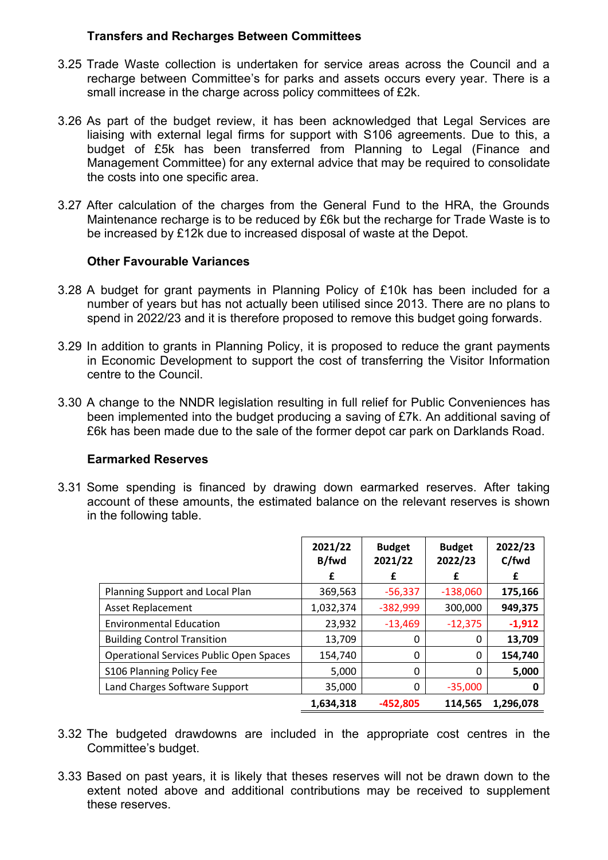#### **Transfers and Recharges Between Committees**

- 3.25 Trade Waste collection is undertaken for service areas across the Council and a recharge between Committee's for parks and assets occurs every year. There is a small increase in the charge across policy committees of £2k.
- 3.26 As part of the budget review, it has been acknowledged that Legal Services are liaising with external legal firms for support with S106 agreements. Due to this, a budget of £5k has been transferred from Planning to Legal (Finance and Management Committee) for any external advice that may be required to consolidate the costs into one specific area.
- 3.27 After calculation of the charges from the General Fund to the HRA, the Grounds Maintenance recharge is to be reduced by £6k but the recharge for Trade Waste is to be increased by £12k due to increased disposal of waste at the Depot.

#### **Other Favourable Variances**

- 3.28 A budget for grant payments in Planning Policy of £10k has been included for a number of years but has not actually been utilised since 2013. There are no plans to spend in 2022/23 and it is therefore proposed to remove this budget going forwards.
- 3.29 In addition to grants in Planning Policy, it is proposed to reduce the grant payments in Economic Development to support the cost of transferring the Visitor Information centre to the Council.
- 3.30 A change to the NNDR legislation resulting in full relief for Public Conveniences has been implemented into the budget producing a saving of £7k. An additional saving of £6k has been made due to the sale of the former depot car park on Darklands Road.

#### **Earmarked Reserves**

3.31 Some spending is financed by drawing down earmarked reserves. After taking account of these amounts, the estimated balance on the relevant reserves is shown in the following table.

|                                                | 2021/22<br>B/fwd | <b>Budget</b><br>2021/22 | <b>Budget</b><br>2022/23 | 2022/23<br>C/fwd |
|------------------------------------------------|------------------|--------------------------|--------------------------|------------------|
|                                                | £                | £                        | £                        | £                |
| Planning Support and Local Plan                | 369,563          | $-56,337$                | $-138,060$               | 175,166          |
| <b>Asset Replacement</b>                       | 1,032,374        | $-382,999$               | 300,000                  | 949,375          |
| <b>Environmental Education</b>                 | 23,932           | $-13,469$                | $-12,375$                | $-1,912$         |
| <b>Building Control Transition</b>             | 13,709           | 0                        | 0                        | 13,709           |
| <b>Operational Services Public Open Spaces</b> | 154,740          | 0                        | 0                        | 154,740          |
| S106 Planning Policy Fee                       | 5,000            | 0                        | 0                        | 5,000            |
| Land Charges Software Support                  | 35,000           | 0                        | $-35,000$                | 0                |
|                                                | 1,634,318        | $-452.805$               | 114.565                  | 1,296,078        |

- 3.32 The budgeted drawdowns are included in the appropriate cost centres in the Committee's budget.
- 3.33 Based on past years, it is likely that theses reserves will not be drawn down to the extent noted above and additional contributions may be received to supplement these reserves.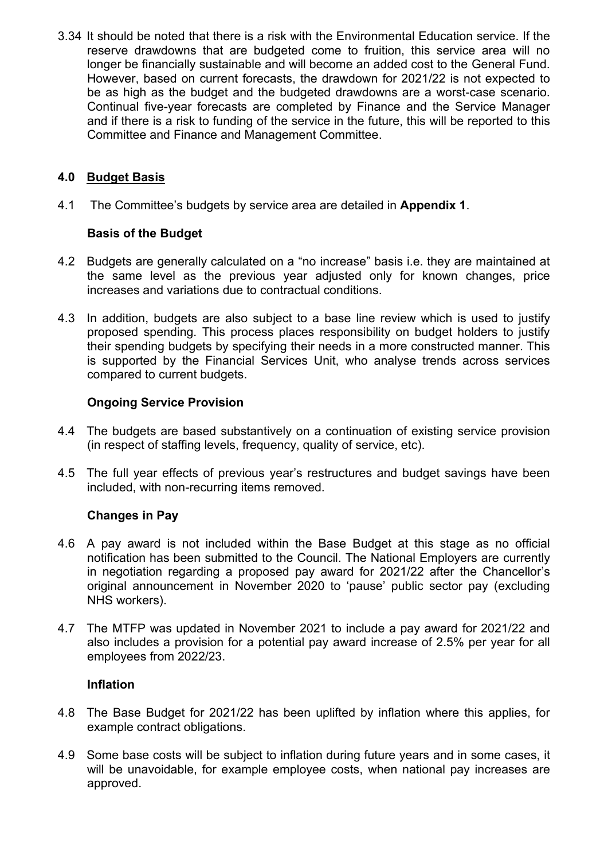3.34 It should be noted that there is a risk with the Environmental Education service. If the reserve drawdowns that are budgeted come to fruition, this service area will no longer be financially sustainable and will become an added cost to the General Fund. However, based on current forecasts, the drawdown for 2021/22 is not expected to be as high as the budget and the budgeted drawdowns are a worst-case scenario. Continual five-year forecasts are completed by Finance and the Service Manager and if there is a risk to funding of the service in the future, this will be reported to this Committee and Finance and Management Committee.

### **4.0 Budget Basis**

4.1 The Committee's budgets by service area are detailed in **Appendix 1**.

#### **Basis of the Budget**

- 4.2 Budgets are generally calculated on a "no increase" basis i.e. they are maintained at the same level as the previous year adjusted only for known changes, price increases and variations due to contractual conditions.
- 4.3 In addition, budgets are also subject to a base line review which is used to justify proposed spending. This process places responsibility on budget holders to justify their spending budgets by specifying their needs in a more constructed manner. This is supported by the Financial Services Unit, who analyse trends across services compared to current budgets.

#### **Ongoing Service Provision**

- 4.4 The budgets are based substantively on a continuation of existing service provision (in respect of staffing levels, frequency, quality of service, etc).
- 4.5 The full year effects of previous year's restructures and budget savings have been included, with non-recurring items removed.

#### **Changes in Pay**

- 4.6 A pay award is not included within the Base Budget at this stage as no official notification has been submitted to the Council. The National Employers are currently in negotiation regarding a proposed pay award for 2021/22 after the Chancellor's original announcement in November 2020 to 'pause' public sector pay (excluding NHS workers).
- 4.7 The MTFP was updated in November 2021 to include a pay award for 2021/22 and also includes a provision for a potential pay award increase of 2.5% per year for all employees from 2022/23.

#### **Inflation**

- 4.8 The Base Budget for 2021/22 has been uplifted by inflation where this applies, for example contract obligations.
- 4.9 Some base costs will be subject to inflation during future years and in some cases, it will be unavoidable, for example employee costs, when national pay increases are approved.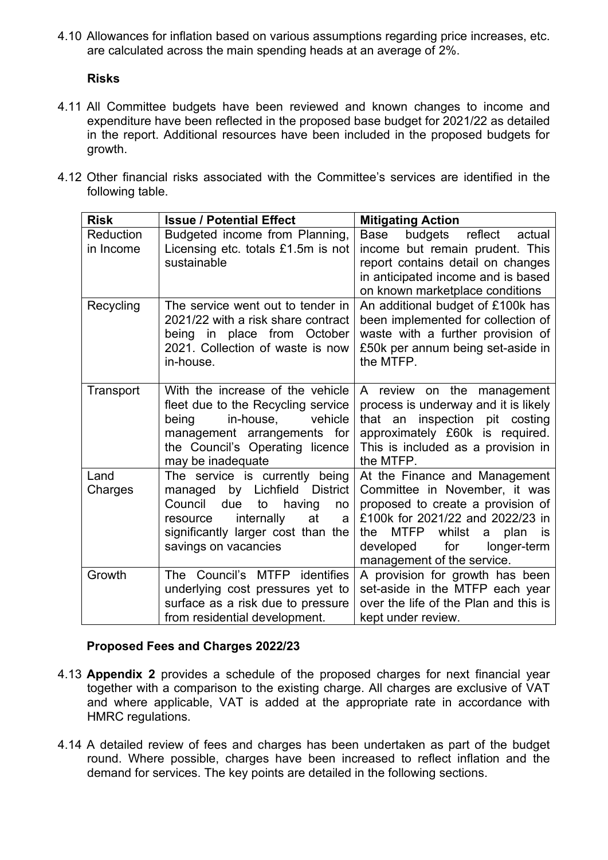4.10 Allowances for inflation based on various assumptions regarding price increases, etc. are calculated across the main spending heads at an average of 2%.

#### **Risks**

- 4.11 All Committee budgets have been reviewed and known changes to income and expenditure have been reflected in the proposed base budget for 2021/22 as detailed in the report. Additional resources have been included in the proposed budgets for growth.
- 4.12 Other financial risks associated with the Committee's services are identified in the following table.

| <b>Risk</b> | <b>Issue / Potential Effect</b>                                         | <b>Mitigating Action</b>                                                                   |
|-------------|-------------------------------------------------------------------------|--------------------------------------------------------------------------------------------|
| Reduction   | Budgeted income from Planning,                                          | Base<br>budgets<br>reflect<br>actual                                                       |
| in Income   | Licensing etc. totals £1.5m is not                                      | income but remain prudent. This                                                            |
|             | sustainable                                                             | report contains detail on changes                                                          |
|             |                                                                         | in anticipated income and is based<br>on known marketplace conditions                      |
| Recycling   | The service went out to tender in                                       | An additional budget of £100k has                                                          |
|             | 2021/22 with a risk share contract                                      | been implemented for collection of                                                         |
|             | being in place from October                                             | waste with a further provision of                                                          |
|             | 2021. Collection of waste is now                                        | £50k per annum being set-aside in                                                          |
|             | in-house.                                                               | the MTFP.                                                                                  |
|             |                                                                         |                                                                                            |
| Transport   | With the increase of the vehicle                                        | A review on the management                                                                 |
|             | fleet due to the Recycling service<br>in-house,<br>being<br>vehicle     | process is underway and it is likely<br>that an inspection pit costing                     |
|             | management arrangements for                                             | approximately £60k is required.                                                            |
|             | the Council's Operating licence                                         | This is included as a provision in                                                         |
|             | may be inadequate                                                       | the MTFP.                                                                                  |
| Land        | The service is currently being                                          | At the Finance and Management                                                              |
| Charges     | managed by Lichfield District                                           | Committee in November, it was                                                              |
|             | Council<br>due<br>to<br>having<br>no                                    | proposed to create a provision of                                                          |
|             | internally<br>at<br>resource<br>a<br>significantly larger cost than the | £100k for 2021/22 and 2022/23 in<br>whilst<br><b>MTFP</b><br>plan<br>the<br>a<br><b>is</b> |
|             | savings on vacancies                                                    | for<br>developed<br>longer-term                                                            |
|             |                                                                         | management of the service.                                                                 |
| Growth      | The Council's MTFP identifies                                           | A provision for growth has been                                                            |
|             | underlying cost pressures yet to                                        | set-aside in the MTFP each year                                                            |
|             | surface as a risk due to pressure                                       | over the life of the Plan and this is                                                      |
|             | from residential development.                                           | kept under review.                                                                         |

#### **Proposed Fees and Charges 2022/23**

- 4.13 **Appendix 2** provides a schedule of the proposed charges for next financial year together with a comparison to the existing charge. All charges are exclusive of VAT and where applicable, VAT is added at the appropriate rate in accordance with HMRC regulations.
- 4.14 A detailed review of fees and charges has been undertaken as part of the budget round. Where possible, charges have been increased to reflect inflation and the demand for services. The key points are detailed in the following sections.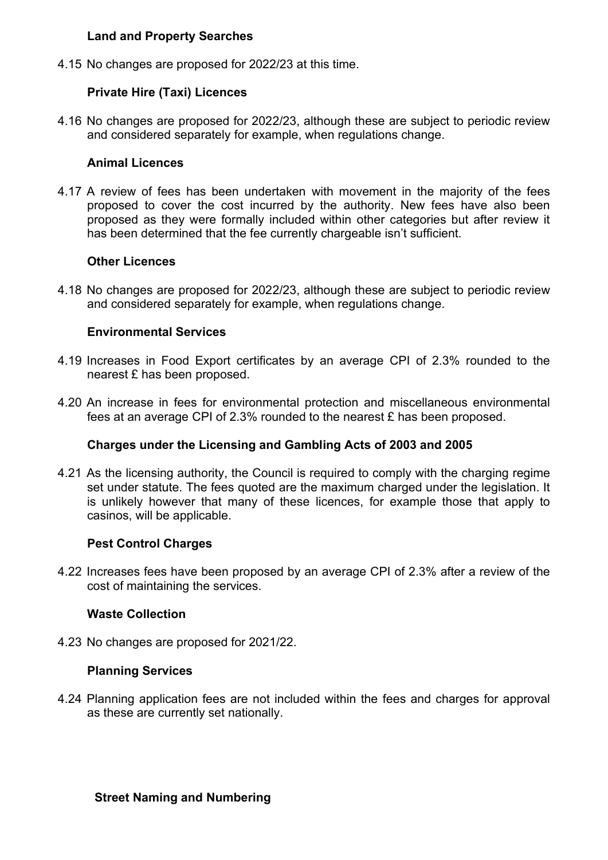#### **Land and Property Searches**

4.15 No changes are proposed for 2022/23 at this time.

#### **Private Hire (Taxi) Licences**

4.16 No changes are proposed for 2022/23, although these are subject to periodic review and considered separately for example, when regulations change.

#### **Animal Licences**

4.17 A review of fees has been undertaken with movement in the majority of the fees proposed to cover the cost incurred by the authority. New fees have also been proposed as they were formally included within other categories but after review it has been determined that the fee currently chargeable isn't sufficient.

#### **Other Licences**

4.18 No changes are proposed for 2022/23, although these are subject to periodic review and considered separately for example, when regulations change.

#### **Environmental Services**

- 4.19 Increases in Food Export certificates by an average CPI of 2.3% rounded to the nearest £ has been proposed.
- 4.20 An increase in fees for environmental protection and miscellaneous environmental fees at an average CPI of 2.3% rounded to the nearest £ has been proposed.

#### **Charges under the Licensing and Gambling Acts of 2003 and 2005**

4.21 As the licensing authority, the Council is required to comply with the charging regime set under statute. The fees quoted are the maximum charged under the legislation. It is unlikely however that many of these licences, for example those that apply to casinos, will be applicable.

#### **Pest Control Charges**

4.22 Increases fees have been proposed by an average CPI of 2.3% after a review of the cost of maintaining the services.

#### **Waste Collection**

4.23 No changes are proposed for 2021/22.

#### **Planning Services**

4.24 Planning application fees are not included within the fees and charges for approval as these are currently set nationally.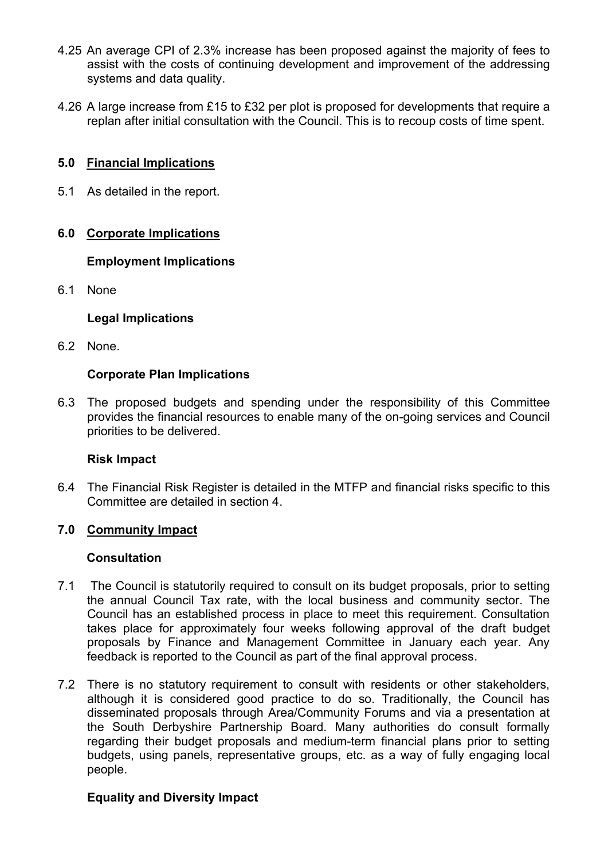- 4.25 An average CPI of 2.3% increase has been proposed against the majority of fees to assist with the costs of continuing development and improvement of the addressing systems and data quality.
- 4.26 A large increase from £15 to £32 per plot is proposed for developments that require a replan after initial consultation with the Council. This is to recoup costs of time spent.

#### **5.0 Financial Implications**

5.1 As detailed in the report.

#### **6.0 Corporate Implications**

#### **Employment Implications**

6.1 None

#### **Legal Implications**

6.2 None.

#### **Corporate Plan Implications**

6.3 The proposed budgets and spending under the responsibility of this Committee provides the financial resources to enable many of the on-going services and Council priorities to be delivered.

#### **Risk Impact**

6.4 The Financial Risk Register is detailed in the MTFP and financial risks specific to this Committee are detailed in section 4.

#### **7.0 Community Impact**

#### **Consultation**

- 7.1 The Council is statutorily required to consult on its budget proposals, prior to setting the annual Council Tax rate, with the local business and community sector. The Council has an established process in place to meet this requirement. Consultation takes place for approximately four weeks following approval of the draft budget proposals by Finance and Management Committee in January each year. Any feedback is reported to the Council as part of the final approval process.
- 7.2 There is no statutory requirement to consult with residents or other stakeholders, although it is considered good practice to do so. Traditionally, the Council has disseminated proposals through Area/Community Forums and via a presentation at the South Derbyshire Partnership Board. Many authorities do consult formally regarding their budget proposals and medium-term financial plans prior to setting budgets, using panels, representative groups, etc. as a way of fully engaging local people.

#### **Equality and Diversity Impact**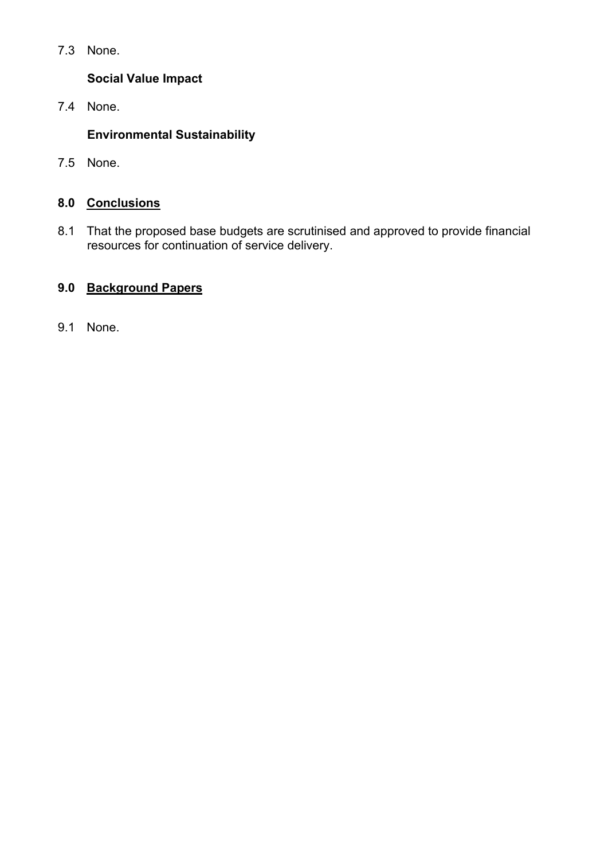7.3 None.

## **Social Value Impact**

7.4 None.

# **Environmental Sustainability**

7.5 None.

# **8.0 Conclusions**

8.1 That the proposed base budgets are scrutinised and approved to provide financial resources for continuation of service delivery.

# **9.0 Background Papers**

9.1 None.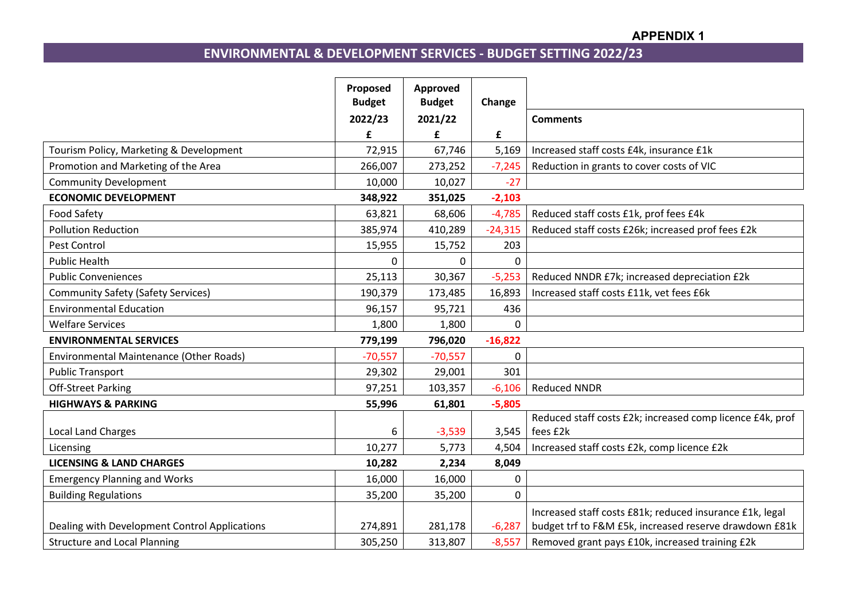#### **APPENDIX 1**

# **ENVIRONMENTAL & DEVELOPMENT SERVICES - BUDGET SETTING 2022/23**

|                                               | Proposed<br><b>Budget</b> | Approved<br><b>Budget</b> | Change      |                                                           |
|-----------------------------------------------|---------------------------|---------------------------|-------------|-----------------------------------------------------------|
|                                               | 2022/23                   | 2021/22                   |             | <b>Comments</b>                                           |
|                                               | £                         | £                         | £           |                                                           |
| Tourism Policy, Marketing & Development       | 72,915                    | 67,746                    | 5,169       | Increased staff costs £4k, insurance £1k                  |
| Promotion and Marketing of the Area           | 266,007                   | 273,252                   | $-7,245$    | Reduction in grants to cover costs of VIC                 |
| <b>Community Development</b>                  | 10,000                    | 10,027                    | $-27$       |                                                           |
| <b>ECONOMIC DEVELOPMENT</b>                   | 348,922                   | 351,025                   | $-2,103$    |                                                           |
| <b>Food Safety</b>                            | 63,821                    | 68,606                    | $-4,785$    | Reduced staff costs £1k, prof fees £4k                    |
| <b>Pollution Reduction</b>                    | 385,974                   | 410,289                   | $-24,315$   | Reduced staff costs £26k; increased prof fees £2k         |
| Pest Control                                  | 15,955                    | 15,752                    | 203         |                                                           |
| <b>Public Health</b>                          | 0                         | $\Omega$                  | $\Omega$    |                                                           |
| <b>Public Conveniences</b>                    | 25,113                    | 30,367                    | $-5,253$    | Reduced NNDR £7k; increased depreciation £2k              |
| <b>Community Safety (Safety Services)</b>     | 190,379                   | 173,485                   | 16,893      | Increased staff costs £11k, vet fees £6k                  |
| <b>Environmental Education</b>                | 96,157                    | 95,721                    | 436         |                                                           |
| <b>Welfare Services</b>                       | 1,800                     | 1,800                     | $\Omega$    |                                                           |
| <b>ENVIRONMENTAL SERVICES</b>                 | 779,199                   | 796,020                   | $-16,822$   |                                                           |
| Environmental Maintenance (Other Roads)       | $-70,557$                 | $-70,557$                 | 0           |                                                           |
| <b>Public Transport</b>                       | 29,302                    | 29,001                    | 301         |                                                           |
| <b>Off-Street Parking</b>                     | 97,251                    | 103,357                   | $-6,106$    | <b>Reduced NNDR</b>                                       |
| <b>HIGHWAYS &amp; PARKING</b>                 | 55,996                    | 61,801                    | $-5,805$    |                                                           |
|                                               |                           |                           |             | Reduced staff costs £2k; increased comp licence £4k, prof |
| <b>Local Land Charges</b>                     | 6                         | $-3,539$                  | 3,545       | fees £2k                                                  |
| Licensing                                     | 10,277                    | 5,773                     | 4,504       | Increased staff costs £2k, comp licence £2k               |
| <b>LICENSING &amp; LAND CHARGES</b>           | 10,282                    | 2,234                     | 8,049       |                                                           |
| <b>Emergency Planning and Works</b>           | 16,000                    | 16,000                    | 0           |                                                           |
| <b>Building Regulations</b>                   | 35,200                    | 35,200                    | $\mathbf 0$ |                                                           |
|                                               |                           |                           |             | Increased staff costs £81k; reduced insurance £1k, legal  |
| Dealing with Development Control Applications | 274,891                   | 281,178                   | $-6,287$    | budget trf to F&M £5k, increased reserve drawdown £81k    |
| <b>Structure and Local Planning</b>           | 305,250                   | 313,807                   | $-8,557$    | Removed grant pays £10k, increased training £2k           |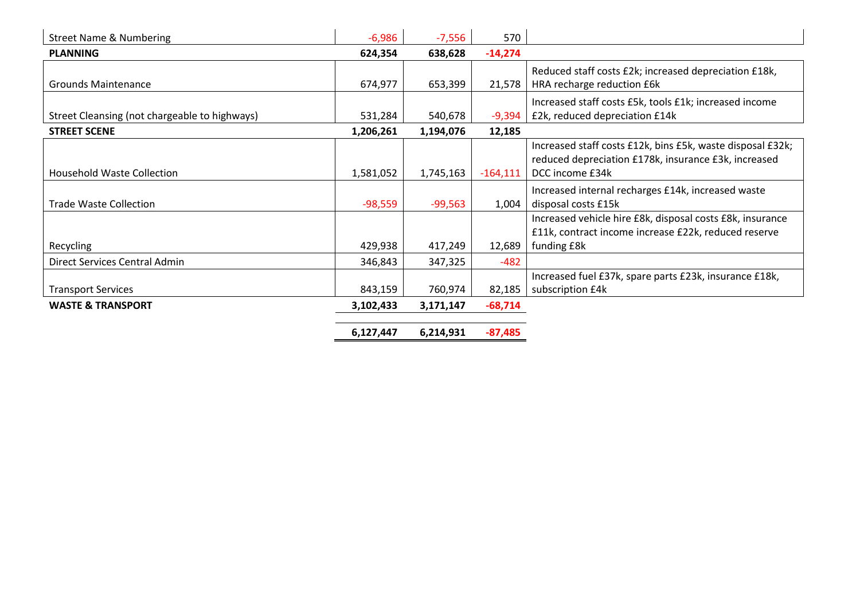| <b>Street Name &amp; Numbering</b>            | $-6,986$  | $-7,556$  | 570        |                                                            |
|-----------------------------------------------|-----------|-----------|------------|------------------------------------------------------------|
| <b>PLANNING</b>                               | 624,354   | 638,628   | $-14,274$  |                                                            |
|                                               |           |           |            | Reduced staff costs £2k; increased depreciation £18k,      |
| <b>Grounds Maintenance</b>                    | 674,977   | 653,399   | 21,578     | HRA recharge reduction £6k                                 |
|                                               |           |           |            | Increased staff costs £5k, tools £1k; increased income     |
| Street Cleansing (not chargeable to highways) | 531,284   | 540,678   | $-9,394$   | £2k, reduced depreciation £14k                             |
| <b>STREET SCENE</b>                           | 1,206,261 | 1,194,076 | 12,185     |                                                            |
|                                               |           |           |            | Increased staff costs £12k, bins £5k, waste disposal £32k; |
|                                               |           |           |            | reduced depreciation £178k, insurance £3k, increased       |
| <b>Household Waste Collection</b>             | 1,581,052 | 1,745,163 | $-164,111$ | DCC income £34k                                            |
|                                               |           |           |            | Increased internal recharges £14k, increased waste         |
| <b>Trade Waste Collection</b>                 | $-98,559$ | $-99,563$ | 1,004      | disposal costs £15k                                        |
|                                               |           |           |            | Increased vehicle hire £8k, disposal costs £8k, insurance  |
|                                               |           |           |            | £11k, contract income increase £22k, reduced reserve       |
| Recycling                                     | 429,938   | 417,249   | 12,689     | funding £8k                                                |
| Direct Services Central Admin                 | 346,843   | 347,325   | $-482$     |                                                            |
|                                               |           |           |            | Increased fuel £37k, spare parts £23k, insurance £18k,     |
| <b>Transport Services</b>                     | 843,159   | 760,974   | 82,185     | subscription £4k                                           |
| <b>WASTE &amp; TRANSPORT</b>                  | 3,102,433 | 3,171,147 | $-68,714$  |                                                            |
|                                               | 6,127,447 | 6,214,931 | $-87,485$  |                                                            |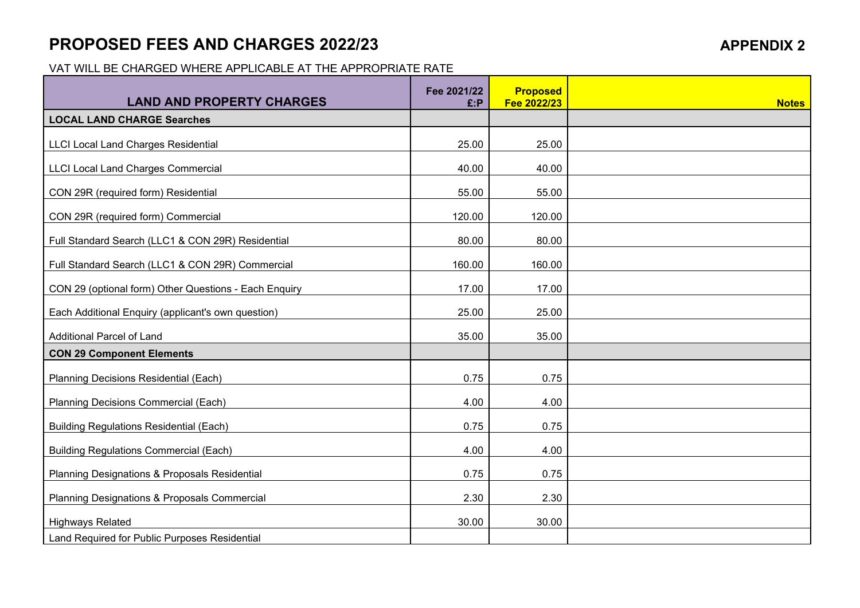# **PROPOSED FEES AND CHARGES 2022/23 APPENDIX 2**

VAT WILL BE CHARGED WHERE APPLICABLE AT THE APPROPRIATE RATE

| <b>LAND AND PROPERTY CHARGES</b>                      | Fee 2021/22<br>£:P | <b>Proposed</b><br>Fee 2022/23 | <b>Notes</b> |
|-------------------------------------------------------|--------------------|--------------------------------|--------------|
| <b>LOCAL LAND CHARGE Searches</b>                     |                    |                                |              |
| <b>LLCI Local Land Charges Residential</b>            | 25.00              | 25.00                          |              |
| <b>LLCI Local Land Charges Commercial</b>             | 40.00              | 40.00                          |              |
| CON 29R (required form) Residential                   | 55.00              | 55.00                          |              |
| CON 29R (required form) Commercial                    | 120.00             | 120.00                         |              |
| Full Standard Search (LLC1 & CON 29R) Residential     | 80.00              | 80.00                          |              |
| Full Standard Search (LLC1 & CON 29R) Commercial      | 160.00             | 160.00                         |              |
| CON 29 (optional form) Other Questions - Each Enquiry | 17.00              | 17.00                          |              |
| Each Additional Enquiry (applicant's own question)    | 25.00              | 25.00                          |              |
| <b>Additional Parcel of Land</b>                      | 35.00              | 35.00                          |              |
| <b>CON 29 Component Elements</b>                      |                    |                                |              |
| Planning Decisions Residential (Each)                 | 0.75               | 0.75                           |              |
| Planning Decisions Commercial (Each)                  | 4.00               | 4.00                           |              |
| <b>Building Regulations Residential (Each)</b>        | 0.75               | 0.75                           |              |
| <b>Building Regulations Commercial (Each)</b>         | 4.00               | 4.00                           |              |
| Planning Designations & Proposals Residential         | 0.75               | 0.75                           |              |
| Planning Designations & Proposals Commercial          | 2.30               | 2.30                           |              |
| <b>Highways Related</b>                               | 30.00              | 30.00                          |              |
| Land Required for Public Purposes Residential         |                    |                                |              |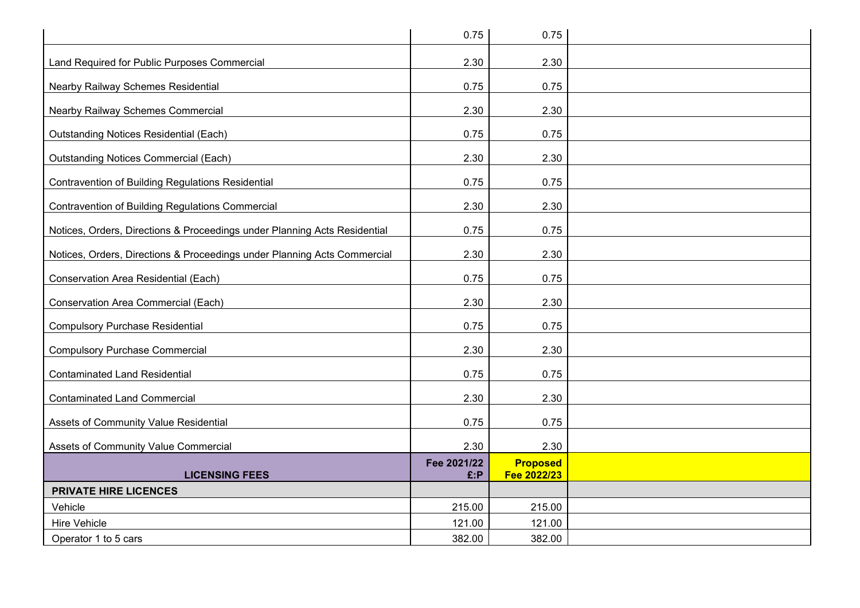|                                                                           | 0.75                | 0.75                           |  |
|---------------------------------------------------------------------------|---------------------|--------------------------------|--|
| Land Required for Public Purposes Commercial                              | 2.30                | 2.30                           |  |
| Nearby Railway Schemes Residential                                        | 0.75                | 0.75                           |  |
|                                                                           | 2.30                | 2.30                           |  |
| Nearby Railway Schemes Commercial                                         |                     |                                |  |
| <b>Outstanding Notices Residential (Each)</b>                             | 0.75                | 0.75                           |  |
| <b>Outstanding Notices Commercial (Each)</b>                              | 2.30                | 2.30                           |  |
| <b>Contravention of Building Regulations Residential</b>                  | 0.75                | 0.75                           |  |
| <b>Contravention of Building Regulations Commercial</b>                   | 2.30                | 2.30                           |  |
| Notices, Orders, Directions & Proceedings under Planning Acts Residential | 0.75                | 0.75                           |  |
| Notices, Orders, Directions & Proceedings under Planning Acts Commercial  | 2.30                | 2.30                           |  |
| Conservation Area Residential (Each)                                      | 0.75                | 0.75                           |  |
| Conservation Area Commercial (Each)                                       | 2.30                | 2.30                           |  |
| <b>Compulsory Purchase Residential</b>                                    | 0.75                | 0.75                           |  |
| <b>Compulsory Purchase Commercial</b>                                     | 2.30                | 2.30                           |  |
| <b>Contaminated Land Residential</b>                                      | 0.75                | 0.75                           |  |
| <b>Contaminated Land Commercial</b>                                       | 2.30                | 2.30                           |  |
| Assets of Community Value Residential                                     | 0.75                | 0.75                           |  |
| Assets of Community Value Commercial                                      | 2.30                | 2.30                           |  |
| <b>LICENSING FEES</b>                                                     | Fee 2021/22<br>E: P | <b>Proposed</b><br>Fee 2022/23 |  |
| <b>PRIVATE HIRE LICENCES</b>                                              |                     |                                |  |
| Vehicle                                                                   | 215.00              | 215.00                         |  |
| Hire Vehicle                                                              | 121.00              | 121.00                         |  |
| Operator 1 to 5 cars                                                      | 382.00              | 382.00                         |  |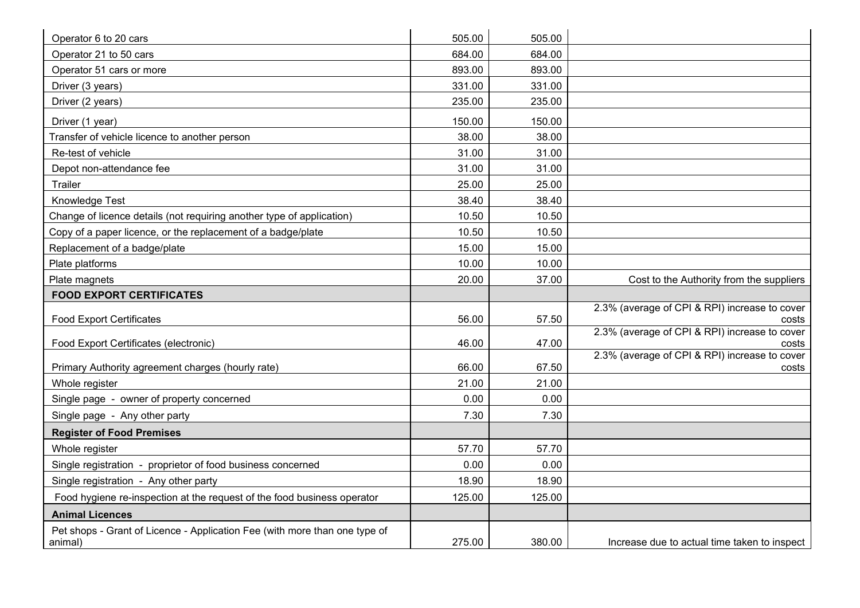| Operator 6 to 20 cars                                                                 | 505.00 | 505.00 |                                                        |
|---------------------------------------------------------------------------------------|--------|--------|--------------------------------------------------------|
| Operator 21 to 50 cars                                                                | 684.00 | 684.00 |                                                        |
| Operator 51 cars or more                                                              | 893.00 | 893.00 |                                                        |
| Driver (3 years)                                                                      | 331.00 | 331.00 |                                                        |
| Driver (2 years)                                                                      | 235.00 | 235.00 |                                                        |
| Driver (1 year)                                                                       | 150.00 | 150.00 |                                                        |
| Transfer of vehicle licence to another person                                         | 38.00  | 38.00  |                                                        |
| Re-test of vehicle                                                                    | 31.00  | 31.00  |                                                        |
| Depot non-attendance fee                                                              | 31.00  | 31.00  |                                                        |
| Trailer                                                                               | 25.00  | 25.00  |                                                        |
| Knowledge Test                                                                        | 38.40  | 38.40  |                                                        |
| Change of licence details (not requiring another type of application)                 | 10.50  | 10.50  |                                                        |
| Copy of a paper licence, or the replacement of a badge/plate                          | 10.50  | 10.50  |                                                        |
| Replacement of a badge/plate                                                          | 15.00  | 15.00  |                                                        |
| Plate platforms                                                                       | 10.00  | 10.00  |                                                        |
| Plate magnets                                                                         | 20.00  | 37.00  | Cost to the Authority from the suppliers               |
| <b>FOOD EXPORT CERTIFICATES</b>                                                       |        |        |                                                        |
| <b>Food Export Certificates</b>                                                       | 56.00  | 57.50  | 2.3% (average of CPI & RPI) increase to cover<br>costs |
| Food Export Certificates (electronic)                                                 | 46.00  | 47.00  | 2.3% (average of CPI & RPI) increase to cover<br>costs |
| Primary Authority agreement charges (hourly rate)                                     | 66.00  | 67.50  | 2.3% (average of CPI & RPI) increase to cover<br>costs |
| Whole register                                                                        | 21.00  | 21.00  |                                                        |
| Single page - owner of property concerned                                             | 0.00   | 0.00   |                                                        |
| Single page - Any other party                                                         | 7.30   | 7.30   |                                                        |
| <b>Register of Food Premises</b>                                                      |        |        |                                                        |
| Whole register                                                                        | 57.70  | 57.70  |                                                        |
| Single registration - proprietor of food business concerned                           | 0.00   | 0.00   |                                                        |
| Single registration - Any other party                                                 | 18.90  | 18.90  |                                                        |
| Food hygiene re-inspection at the request of the food business operator               | 125.00 | 125.00 |                                                        |
| <b>Animal Licences</b>                                                                |        |        |                                                        |
| Pet shops - Grant of Licence - Application Fee (with more than one type of<br>animal) | 275.00 | 380.00 | Increase due to actual time taken to inspect           |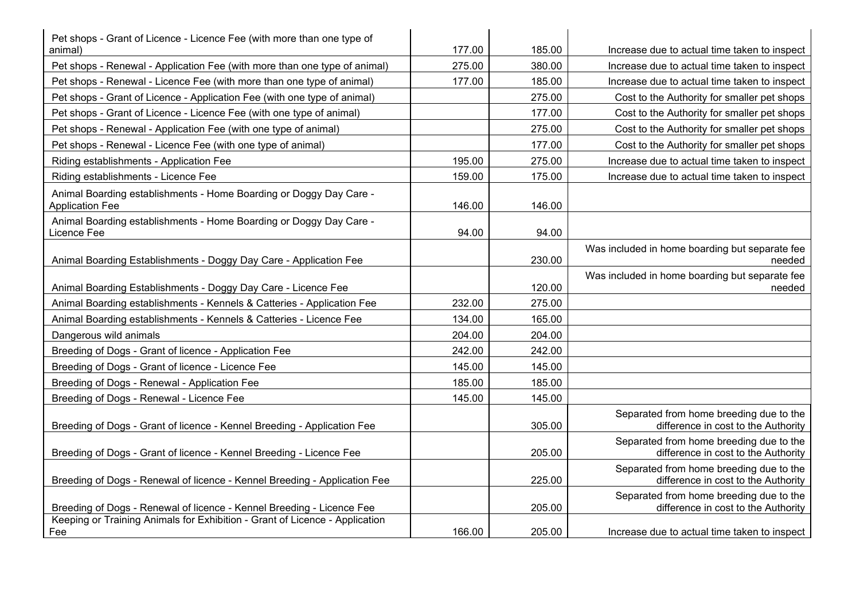| Pet shops - Grant of Licence - Licence Fee (with more than one type of<br>animal)                                                       | 177.00 | 185.00 | Increase due to actual time taken to inspect                                   |
|-----------------------------------------------------------------------------------------------------------------------------------------|--------|--------|--------------------------------------------------------------------------------|
| Pet shops - Renewal - Application Fee (with more than one type of animal)                                                               | 275.00 | 380.00 | Increase due to actual time taken to inspect                                   |
| Pet shops - Renewal - Licence Fee (with more than one type of animal)                                                                   | 177.00 | 185.00 | Increase due to actual time taken to inspect                                   |
| Pet shops - Grant of Licence - Application Fee (with one type of animal)                                                                |        | 275.00 | Cost to the Authority for smaller pet shops                                    |
| Pet shops - Grant of Licence - Licence Fee (with one type of animal)                                                                    |        | 177.00 | Cost to the Authority for smaller pet shops                                    |
| Pet shops - Renewal - Application Fee (with one type of animal)                                                                         |        | 275.00 | Cost to the Authority for smaller pet shops                                    |
| Pet shops - Renewal - Licence Fee (with one type of animal)                                                                             |        | 177.00 | Cost to the Authority for smaller pet shops                                    |
| Riding establishments - Application Fee                                                                                                 | 195.00 | 275.00 | Increase due to actual time taken to inspect                                   |
| Riding establishments - Licence Fee                                                                                                     | 159.00 | 175.00 | Increase due to actual time taken to inspect                                   |
| Animal Boarding establishments - Home Boarding or Doggy Day Care -<br><b>Application Fee</b>                                            | 146.00 | 146.00 |                                                                                |
| Animal Boarding establishments - Home Boarding or Doggy Day Care -<br>Licence Fee                                                       | 94.00  | 94.00  |                                                                                |
| Animal Boarding Establishments - Doggy Day Care - Application Fee                                                                       |        | 230.00 | Was included in home boarding but separate fee<br>needed                       |
|                                                                                                                                         |        | 120.00 | Was included in home boarding but separate fee                                 |
| Animal Boarding Establishments - Doggy Day Care - Licence Fee<br>Animal Boarding establishments - Kennels & Catteries - Application Fee | 232.00 | 275.00 | needed                                                                         |
| Animal Boarding establishments - Kennels & Catteries - Licence Fee                                                                      | 134.00 | 165.00 |                                                                                |
| Dangerous wild animals                                                                                                                  | 204.00 | 204.00 |                                                                                |
| Breeding of Dogs - Grant of licence - Application Fee                                                                                   | 242.00 | 242.00 |                                                                                |
| Breeding of Dogs - Grant of licence - Licence Fee                                                                                       | 145.00 | 145.00 |                                                                                |
| Breeding of Dogs - Renewal - Application Fee                                                                                            | 185.00 | 185.00 |                                                                                |
| Breeding of Dogs - Renewal - Licence Fee                                                                                                | 145.00 | 145.00 |                                                                                |
| Breeding of Dogs - Grant of licence - Kennel Breeding - Application Fee                                                                 |        | 305.00 | Separated from home breeding due to the<br>difference in cost to the Authority |
| Breeding of Dogs - Grant of licence - Kennel Breeding - Licence Fee                                                                     |        | 205.00 | Separated from home breeding due to the<br>difference in cost to the Authority |
| Breeding of Dogs - Renewal of licence - Kennel Breeding - Application Fee                                                               |        | 225.00 | Separated from home breeding due to the<br>difference in cost to the Authority |
| Breeding of Dogs - Renewal of licence - Kennel Breeding - Licence Fee                                                                   |        | 205.00 | Separated from home breeding due to the<br>difference in cost to the Authority |
| Keeping or Training Animals for Exhibition - Grant of Licence - Application<br>Fee                                                      | 166.00 | 205.00 | Increase due to actual time taken to inspect                                   |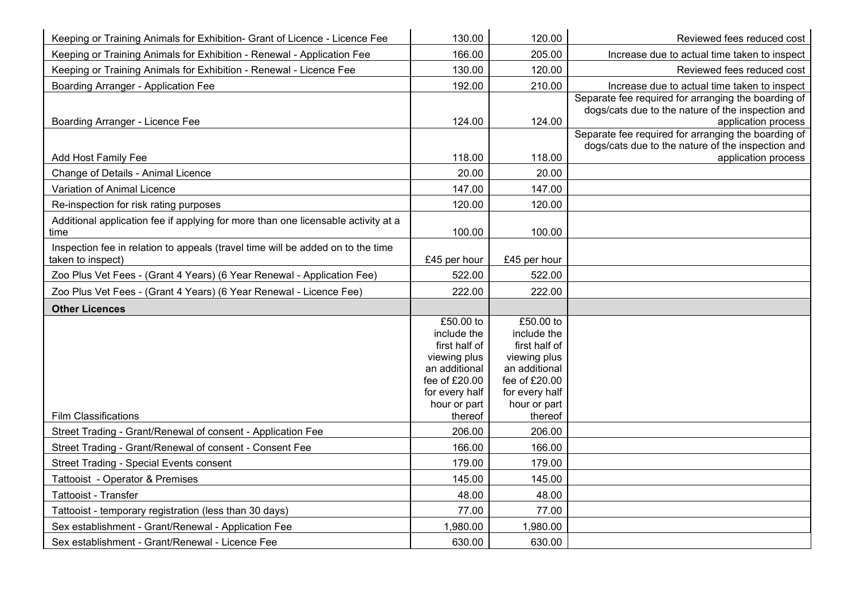| Keeping or Training Animals for Exhibition- Grant of Licence - Licence Fee        | 130.00                        | 120.00                        | Reviewed fees reduced cost                                               |
|-----------------------------------------------------------------------------------|-------------------------------|-------------------------------|--------------------------------------------------------------------------|
| Keeping or Training Animals for Exhibition - Renewal - Application Fee            | 166.00                        | 205.00                        | Increase due to actual time taken to inspect                             |
| Keeping or Training Animals for Exhibition - Renewal - Licence Fee                | 130.00                        | 120.00                        | Reviewed fees reduced cost                                               |
| Boarding Arranger - Application Fee                                               | 192.00                        | 210.00                        | Increase due to actual time taken to inspect                             |
|                                                                                   |                               |                               | Separate fee required for arranging the boarding of                      |
| Boarding Arranger - Licence Fee                                                   | 124.00                        | 124.00                        | dogs/cats due to the nature of the inspection and<br>application process |
|                                                                                   |                               |                               | Separate fee required for arranging the boarding of                      |
|                                                                                   |                               |                               | dogs/cats due to the nature of the inspection and                        |
| <b>Add Host Family Fee</b>                                                        | 118.00                        | 118.00                        | application process                                                      |
| Change of Details - Animal Licence                                                | 20.00                         | 20.00                         |                                                                          |
| Variation of Animal Licence                                                       | 147.00                        | 147.00                        |                                                                          |
| Re-inspection for risk rating purposes                                            | 120.00                        | 120.00                        |                                                                          |
| Additional application fee if applying for more than one licensable activity at a |                               |                               |                                                                          |
| time                                                                              | 100.00                        | 100.00                        |                                                                          |
| Inspection fee in relation to appeals (travel time will be added on to the time   |                               |                               |                                                                          |
| taken to inspect)                                                                 | £45 per hour                  | £45 per hour                  |                                                                          |
| Zoo Plus Vet Fees - (Grant 4 Years) (6 Year Renewal - Application Fee)            | 522.00                        | 522.00                        |                                                                          |
| Zoo Plus Vet Fees - (Grant 4 Years) (6 Year Renewal - Licence Fee)                | 222.00                        | 222.00                        |                                                                          |
| <b>Other Licences</b>                                                             |                               |                               |                                                                          |
|                                                                                   | £50.00 to                     | £50.00 to                     |                                                                          |
|                                                                                   | include the                   | include the                   |                                                                          |
|                                                                                   | first half of<br>viewing plus | first half of<br>viewing plus |                                                                          |
|                                                                                   | an additional                 | an additional                 |                                                                          |
|                                                                                   | fee of £20.00                 | fee of £20.00                 |                                                                          |
|                                                                                   | for every half                | for every half                |                                                                          |
|                                                                                   | hour or part                  | hour or part                  |                                                                          |
| <b>Film Classifications</b>                                                       | thereof                       | thereof                       |                                                                          |
| Street Trading - Grant/Renewal of consent - Application Fee                       | 206.00                        | 206.00                        |                                                                          |
| Street Trading - Grant/Renewal of consent - Consent Fee                           | 166.00                        | 166.00                        |                                                                          |
| <b>Street Trading - Special Events consent</b>                                    | 179.00                        | 179.00                        |                                                                          |
| Tattooist - Operator & Premises                                                   | 145.00                        | 145.00                        |                                                                          |
| Tattooist - Transfer                                                              | 48.00                         | 48.00                         |                                                                          |
| Tattooist - temporary registration (less than 30 days)                            | 77.00                         | 77.00                         |                                                                          |
| Sex establishment - Grant/Renewal - Application Fee                               | 1,980.00                      | 1,980.00                      |                                                                          |
| Sex establishment - Grant/Renewal - Licence Fee                                   | 630.00                        | 630.00                        |                                                                          |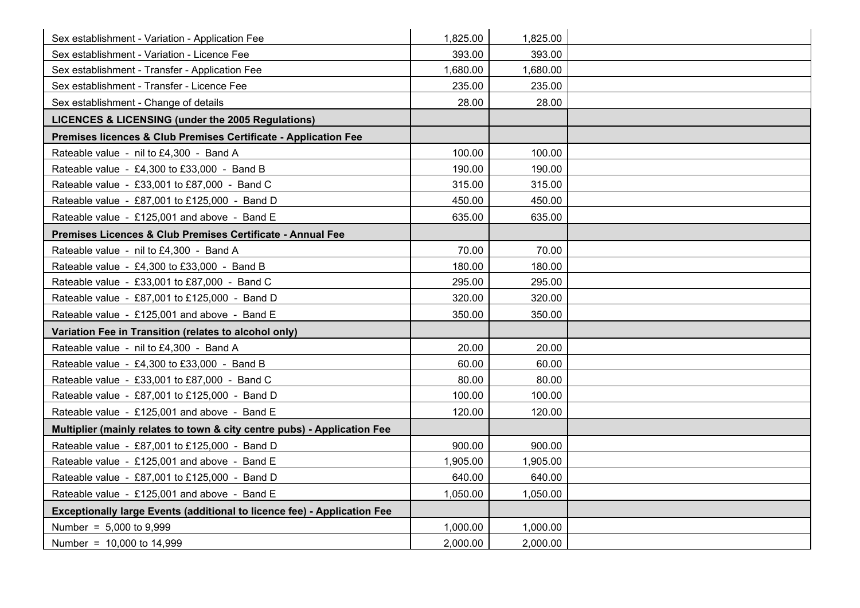| Sex establishment - Variation - Application Fee                                 | 1,825.00 | 1,825.00 |  |
|---------------------------------------------------------------------------------|----------|----------|--|
| Sex establishment - Variation - Licence Fee                                     | 393.00   | 393.00   |  |
| Sex establishment - Transfer - Application Fee                                  | 1,680.00 | 1,680.00 |  |
| Sex establishment - Transfer - Licence Fee                                      | 235.00   | 235.00   |  |
| Sex establishment - Change of details                                           | 28.00    | 28.00    |  |
| LICENCES & LICENSING (under the 2005 Regulations)                               |          |          |  |
| Premises licences & Club Premises Certificate - Application Fee                 |          |          |  |
| Rateable value - nil to £4,300 - Band A                                         | 100.00   | 100.00   |  |
| Rateable value - £4,300 to £33,000 - Band B                                     | 190.00   | 190.00   |  |
| Rateable value - £33,001 to £87,000 - Band C                                    | 315.00   | 315.00   |  |
| Rateable value - £87,001 to £125,000 - Band D                                   | 450.00   | 450.00   |  |
| Rateable value - £125,001 and above - Band E                                    | 635.00   | 635.00   |  |
| Premises Licences & Club Premises Certificate - Annual Fee                      |          |          |  |
| Rateable value - nil to £4,300 - Band A                                         | 70.00    | 70.00    |  |
| Rateable value - £4,300 to £33,000 - Band B                                     | 180.00   | 180.00   |  |
| Rateable value - £33,001 to £87,000 - Band C                                    | 295.00   | 295.00   |  |
| Rateable value - £87,001 to £125,000 - Band D                                   | 320.00   | 320.00   |  |
| Rateable value - £125,001 and above - Band E                                    | 350.00   | 350.00   |  |
| Variation Fee in Transition (relates to alcohol only)                           |          |          |  |
| Rateable value - nil to £4,300 - Band A                                         | 20.00    | 20.00    |  |
| Rateable value - £4,300 to £33,000 - Band B                                     | 60.00    | 60.00    |  |
| Rateable value - £33,001 to £87,000 - Band C                                    | 80.00    | 80.00    |  |
| Rateable value - £87,001 to £125,000 - Band D                                   | 100.00   | 100.00   |  |
| Rateable value - £125,001 and above - Band E                                    | 120.00   | 120.00   |  |
| Multiplier (mainly relates to town & city centre pubs) - Application Fee        |          |          |  |
| Rateable value - £87,001 to £125,000 - Band D                                   | 900.00   | 900.00   |  |
| Rateable value - £125,001 and above - Band E                                    | 1,905.00 | 1,905.00 |  |
| Rateable value - £87,001 to £125,000 - Band D                                   | 640.00   | 640.00   |  |
| Rateable value - £125,001 and above - Band E                                    | 1,050.00 | 1,050.00 |  |
| <b>Exceptionally large Events (additional to licence fee) - Application Fee</b> |          |          |  |
| Number = $5,000$ to 9,999                                                       | 1,000.00 | 1,000.00 |  |
| Number = 10,000 to 14,999                                                       | 2,000.00 | 2,000.00 |  |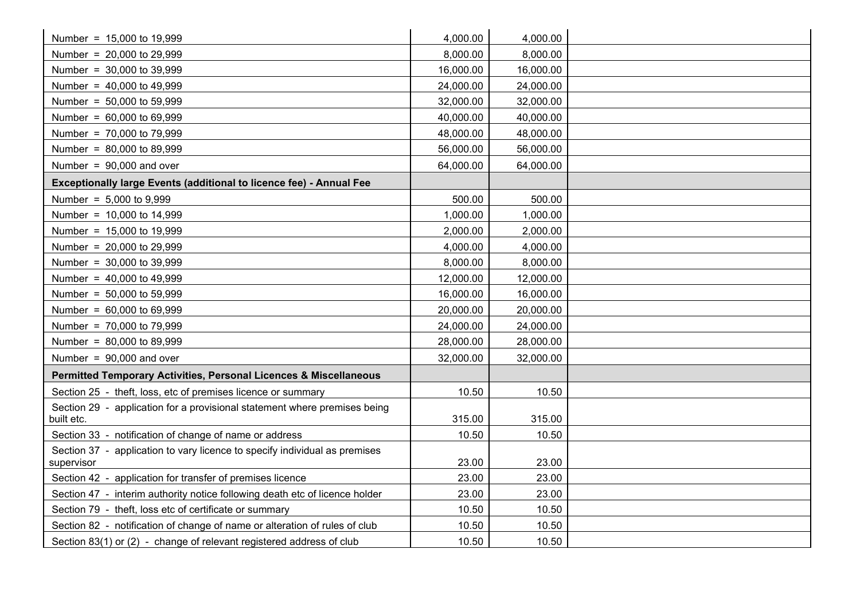| Number = 15,000 to 19,999                                                               | 4,000.00  | 4,000.00  |  |
|-----------------------------------------------------------------------------------------|-----------|-----------|--|
| Number = 20,000 to 29,999                                                               | 8,000.00  | 8,000.00  |  |
| Number = 30,000 to 39,999                                                               | 16,000.00 | 16,000.00 |  |
| Number = $40,000$ to $49,999$                                                           | 24,000.00 | 24,000.00 |  |
| Number = 50,000 to 59,999                                                               | 32,000.00 | 32,000.00 |  |
| Number = $60,000$ to $69,999$                                                           | 40,000.00 | 40,000.00 |  |
| Number = 70,000 to 79,999                                                               | 48,000.00 | 48,000.00 |  |
| Number = 80,000 to 89,999                                                               | 56,000.00 | 56,000.00 |  |
| Number = $90,000$ and over                                                              | 64,000.00 | 64,000.00 |  |
| <b>Exceptionally large Events (additional to licence fee) - Annual Fee</b>              |           |           |  |
| Number = $5,000$ to $9,999$                                                             | 500.00    | 500.00    |  |
| Number = $10,000$ to 14,999                                                             | 1,000.00  | 1,000.00  |  |
| Number = 15,000 to 19,999                                                               | 2,000.00  | 2,000.00  |  |
| Number = 20,000 to 29,999                                                               | 4,000.00  | 4,000.00  |  |
| Number = 30,000 to 39,999                                                               | 8,000.00  | 8,000.00  |  |
| Number = $40,000$ to $49,999$                                                           | 12,000.00 | 12,000.00 |  |
| Number = 50,000 to 59,999                                                               | 16,000.00 | 16,000.00 |  |
| Number = $60,000$ to $69,999$                                                           | 20,000.00 | 20,000.00 |  |
| Number = 70,000 to 79,999                                                               | 24,000.00 | 24,000.00 |  |
| Number = 80,000 to 89,999                                                               | 28,000.00 | 28,000.00 |  |
| Number = $90,000$ and over                                                              | 32,000.00 | 32,000.00 |  |
| Permitted Temporary Activities, Personal Licences & Miscellaneous                       |           |           |  |
| Section 25 - theft, loss, etc of premises licence or summary                            | 10.50     | 10.50     |  |
| Section 29 - application for a provisional statement where premises being<br>built etc. | 315.00    | 315.00    |  |
| Section 33 - notification of change of name or address                                  | 10.50     | 10.50     |  |
| Section 37 - application to vary licence to specify individual as premises              |           |           |  |
| supervisor                                                                              | 23.00     | 23.00     |  |
| Section 42 - application for transfer of premises licence                               | 23.00     | 23.00     |  |
| Section 47 - interim authority notice following death etc of licence holder             | 23.00     | 23.00     |  |
| Section 79 - theft, loss etc of certificate or summary                                  | 10.50     | 10.50     |  |
| Section 82 - notification of change of name or alteration of rules of club              | 10.50     | 10.50     |  |
| Section 83(1) or (2) - change of relevant registered address of club                    | 10.50     | 10.50     |  |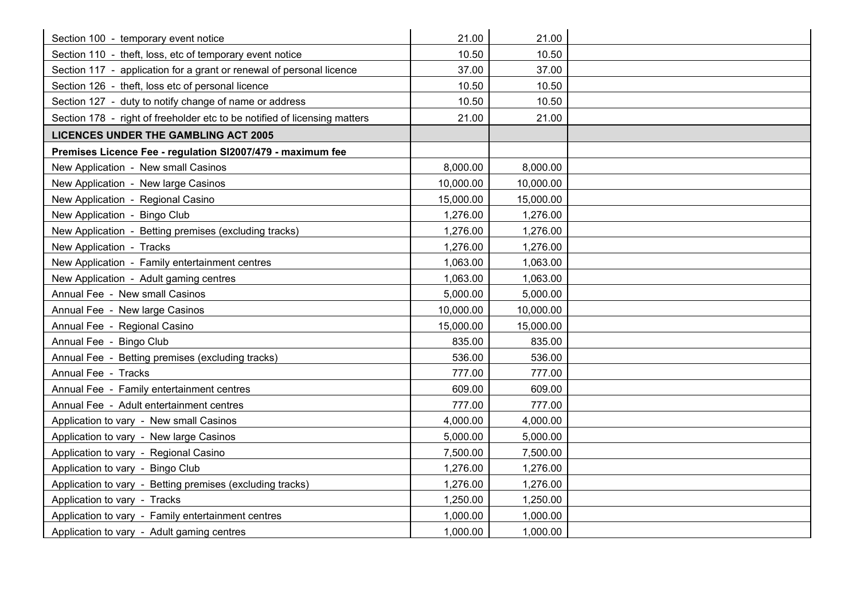| Section 100 - temporary event notice                                      | 21.00     | 21.00     |  |
|---------------------------------------------------------------------------|-----------|-----------|--|
| Section 110 - theft, loss, etc of temporary event notice                  | 10.50     | 10.50     |  |
| Section 117 - application for a grant or renewal of personal licence      | 37.00     | 37.00     |  |
| Section 126 - theft, loss etc of personal licence                         | 10.50     | 10.50     |  |
| Section 127 - duty to notify change of name or address                    | 10.50     | 10.50     |  |
| Section 178 - right of freeholder etc to be notified of licensing matters | 21.00     | 21.00     |  |
| <b>LICENCES UNDER THE GAMBLING ACT 2005</b>                               |           |           |  |
| Premises Licence Fee - regulation SI2007/479 - maximum fee                |           |           |  |
| New Application - New small Casinos                                       | 8,000.00  | 8,000.00  |  |
| New Application - New large Casinos                                       | 10,000.00 | 10,000.00 |  |
| New Application - Regional Casino                                         | 15,000.00 | 15,000.00 |  |
| New Application - Bingo Club                                              | 1,276.00  | 1,276.00  |  |
| New Application - Betting premises (excluding tracks)                     | 1,276.00  | 1,276.00  |  |
| New Application - Tracks                                                  | 1,276.00  | 1,276.00  |  |
| New Application - Family entertainment centres                            | 1,063.00  | 1,063.00  |  |
| New Application - Adult gaming centres                                    | 1,063.00  | 1,063.00  |  |
| Annual Fee - New small Casinos                                            | 5,000.00  | 5,000.00  |  |
| Annual Fee - New large Casinos                                            | 10,000.00 | 10,000.00 |  |
| Annual Fee - Regional Casino                                              | 15,000.00 | 15,000.00 |  |
| Annual Fee - Bingo Club                                                   | 835.00    | 835.00    |  |
| Annual Fee - Betting premises (excluding tracks)                          | 536.00    | 536.00    |  |
| Annual Fee - Tracks                                                       | 777.00    | 777.00    |  |
| Annual Fee - Family entertainment centres                                 | 609.00    | 609.00    |  |
| Annual Fee - Adult entertainment centres                                  | 777.00    | 777.00    |  |
| Application to vary - New small Casinos                                   | 4,000.00  | 4,000.00  |  |
| Application to vary - New large Casinos                                   | 5,000.00  | 5,000.00  |  |
| Application to vary - Regional Casino                                     | 7,500.00  | 7,500.00  |  |
| Application to vary - Bingo Club                                          | 1,276.00  | 1,276.00  |  |
| Application to vary - Betting premises (excluding tracks)                 | 1,276.00  | 1,276.00  |  |
| Application to vary - Tracks                                              | 1,250.00  | 1,250.00  |  |
| Application to vary - Family entertainment centres                        | 1,000.00  | 1,000.00  |  |
| Application to vary - Adult gaming centres                                | 1,000.00  | 1,000.00  |  |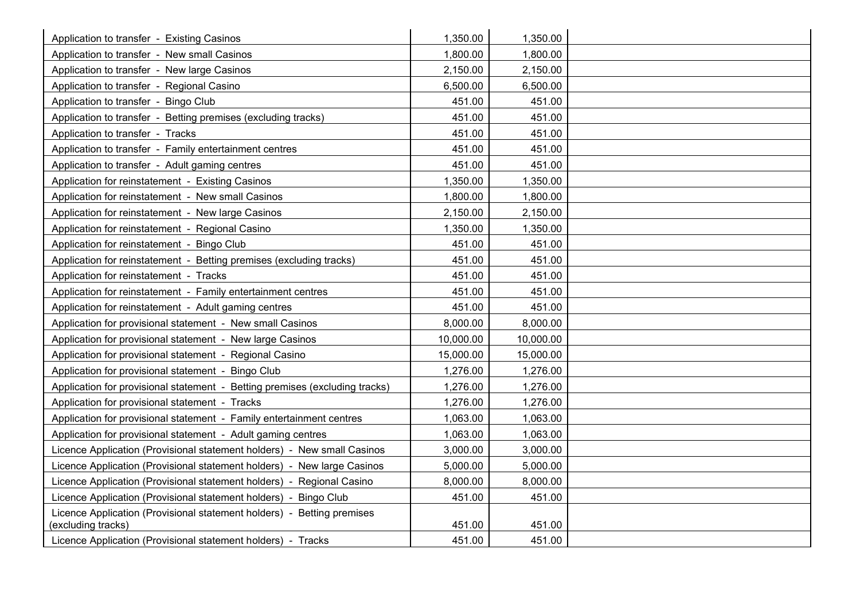| Application to transfer - Existing Casinos                                  | 1,350.00  | 1,350.00  |  |
|-----------------------------------------------------------------------------|-----------|-----------|--|
| Application to transfer - New small Casinos                                 | 1,800.00  | 1,800.00  |  |
| Application to transfer - New large Casinos                                 | 2,150.00  | 2,150.00  |  |
| Application to transfer - Regional Casino                                   | 6,500.00  | 6,500.00  |  |
| Application to transfer - Bingo Club                                        | 451.00    | 451.00    |  |
| Application to transfer - Betting premises (excluding tracks)               | 451.00    | 451.00    |  |
| Application to transfer - Tracks                                            | 451.00    | 451.00    |  |
| Application to transfer - Family entertainment centres                      | 451.00    | 451.00    |  |
| Application to transfer - Adult gaming centres                              | 451.00    | 451.00    |  |
| Application for reinstatement - Existing Casinos                            | 1,350.00  | 1,350.00  |  |
| Application for reinstatement - New small Casinos                           | 1,800.00  | 1,800.00  |  |
| Application for reinstatement - New large Casinos                           | 2,150.00  | 2,150.00  |  |
| Application for reinstatement - Regional Casino                             | 1,350.00  | 1,350.00  |  |
| Application for reinstatement - Bingo Club                                  | 451.00    | 451.00    |  |
| Application for reinstatement - Betting premises (excluding tracks)         | 451.00    | 451.00    |  |
| Application for reinstatement - Tracks                                      | 451.00    | 451.00    |  |
| Application for reinstatement - Family entertainment centres                | 451.00    | 451.00    |  |
| Application for reinstatement - Adult gaming centres                        | 451.00    | 451.00    |  |
| Application for provisional statement - New small Casinos                   | 8,000.00  | 8,000.00  |  |
| Application for provisional statement - New large Casinos                   | 10,000.00 | 10,000.00 |  |
| Application for provisional statement - Regional Casino                     | 15,000.00 | 15,000.00 |  |
| Application for provisional statement - Bingo Club                          | 1,276.00  | 1,276.00  |  |
| Application for provisional statement - Betting premises (excluding tracks) | 1,276.00  | 1,276.00  |  |
| Application for provisional statement - Tracks                              | 1,276.00  | 1,276.00  |  |
| Application for provisional statement - Family entertainment centres        | 1,063.00  | 1,063.00  |  |
| Application for provisional statement - Adult gaming centres                | 1,063.00  | 1,063.00  |  |
| Licence Application (Provisional statement holders) - New small Casinos     | 3,000.00  | 3,000.00  |  |
| Licence Application (Provisional statement holders) - New large Casinos     | 5,000.00  | 5,000.00  |  |
| Licence Application (Provisional statement holders) - Regional Casino       | 8,000.00  | 8,000.00  |  |
| Licence Application (Provisional statement holders) - Bingo Club            | 451.00    | 451.00    |  |
| Licence Application (Provisional statement holders) - Betting premises      |           |           |  |
| (excluding tracks)                                                          | 451.00    | 451.00    |  |
| Licence Application (Provisional statement holders) - Tracks                | 451.00    | 451.00    |  |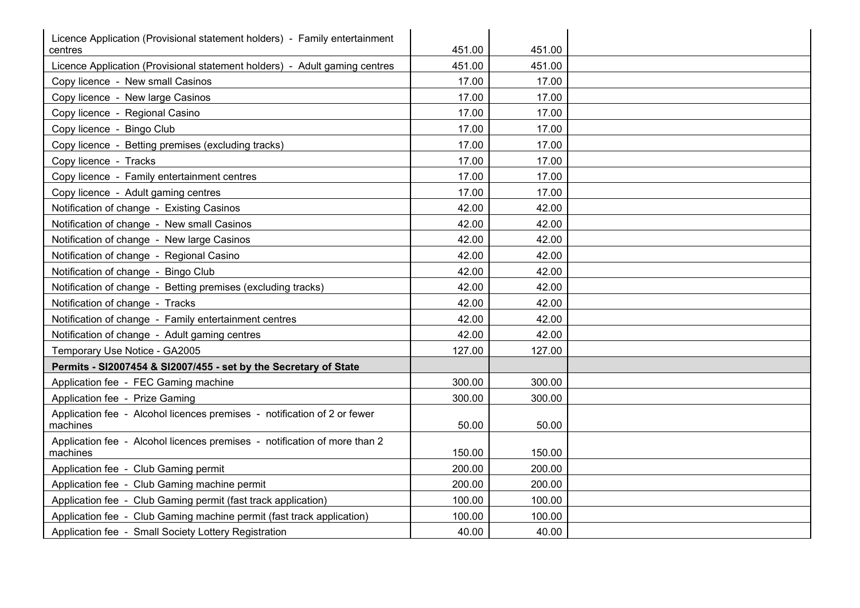| Licence Application (Provisional statement holders) - Family entertainment<br>centres | 451.00 | 451.00 |  |
|---------------------------------------------------------------------------------------|--------|--------|--|
| Licence Application (Provisional statement holders) - Adult gaming centres            | 451.00 | 451.00 |  |
| Copy licence - New small Casinos                                                      | 17.00  | 17.00  |  |
| Copy licence - New large Casinos                                                      | 17.00  | 17.00  |  |
| Copy licence - Regional Casino                                                        | 17.00  | 17.00  |  |
| Copy licence - Bingo Club                                                             | 17.00  | 17.00  |  |
| Copy licence - Betting premises (excluding tracks)                                    | 17.00  | 17.00  |  |
| Copy licence - Tracks                                                                 | 17.00  | 17.00  |  |
| Copy licence - Family entertainment centres                                           | 17.00  | 17.00  |  |
| Copy licence - Adult gaming centres                                                   | 17.00  | 17.00  |  |
| Notification of change - Existing Casinos                                             | 42.00  | 42.00  |  |
| Notification of change - New small Casinos                                            | 42.00  | 42.00  |  |
| Notification of change - New large Casinos                                            | 42.00  | 42.00  |  |
| Notification of change - Regional Casino                                              | 42.00  | 42.00  |  |
| Notification of change - Bingo Club                                                   | 42.00  | 42.00  |  |
| Notification of change - Betting premises (excluding tracks)                          | 42.00  | 42.00  |  |
| Notification of change - Tracks                                                       | 42.00  | 42.00  |  |
| Notification of change - Family entertainment centres                                 | 42.00  | 42.00  |  |
| Notification of change - Adult gaming centres                                         | 42.00  | 42.00  |  |
| Temporary Use Notice - GA2005                                                         | 127.00 | 127.00 |  |
| Permits - SI2007454 & SI2007/455 - set by the Secretary of State                      |        |        |  |
| Application fee - FEC Gaming machine                                                  | 300.00 | 300.00 |  |
| Application fee - Prize Gaming                                                        | 300.00 | 300.00 |  |
| Application fee - Alcohol licences premises - notification of 2 or fewer<br>machines  | 50.00  | 50.00  |  |
| Application fee - Alcohol licences premises - notification of more than 2<br>machines | 150.00 | 150.00 |  |
| Application fee - Club Gaming permit                                                  | 200.00 | 200.00 |  |
| Application fee - Club Gaming machine permit                                          | 200.00 | 200.00 |  |
| Application fee - Club Gaming permit (fast track application)                         | 100.00 | 100.00 |  |
| Application fee - Club Gaming machine permit (fast track application)                 | 100.00 | 100.00 |  |
| Application fee - Small Society Lottery Registration                                  | 40.00  | 40.00  |  |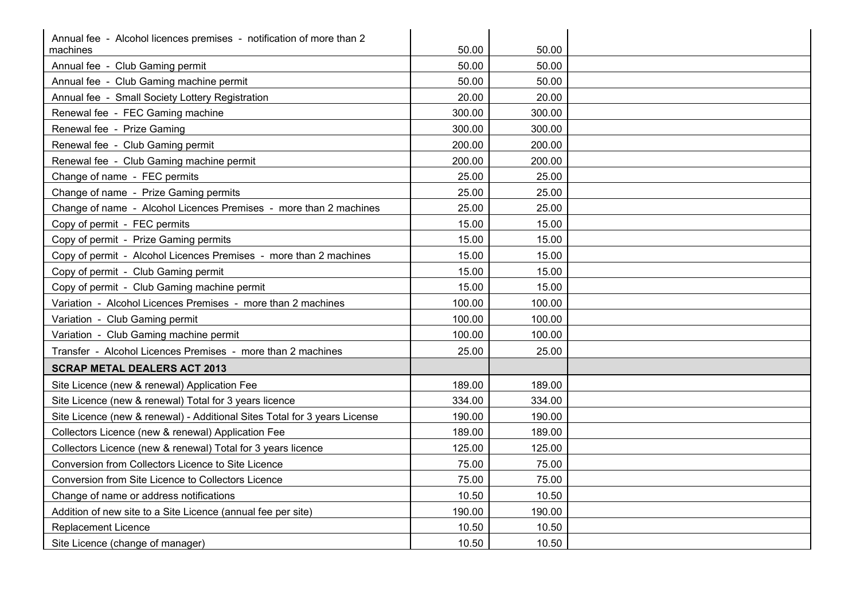| Annual fee - Alcohol licences premises - notification of more than 2      |                |                |  |
|---------------------------------------------------------------------------|----------------|----------------|--|
| machines<br>Annual fee - Club Gaming permit                               | 50.00<br>50.00 | 50.00<br>50.00 |  |
| Annual fee - Club Gaming machine permit                                   | 50.00          | 50.00          |  |
| Annual fee - Small Society Lottery Registration                           | 20.00          | 20.00          |  |
| Renewal fee - FEC Gaming machine                                          | 300.00         | 300.00         |  |
| Renewal fee - Prize Gaming                                                | 300.00         | 300.00         |  |
| Renewal fee - Club Gaming permit                                          | 200.00         | 200.00         |  |
|                                                                           |                |                |  |
| Renewal fee - Club Gaming machine permit                                  | 200.00         | 200.00         |  |
| Change of name - FEC permits                                              | 25.00          | 25.00          |  |
| Change of name - Prize Gaming permits                                     | 25.00          | 25.00          |  |
| Change of name - Alcohol Licences Premises - more than 2 machines         | 25.00          | 25.00          |  |
| Copy of permit - FEC permits                                              | 15.00          | 15.00          |  |
| Copy of permit - Prize Gaming permits                                     | 15.00          | 15.00          |  |
| Copy of permit - Alcohol Licences Premises - more than 2 machines         | 15.00          | 15.00          |  |
| Copy of permit - Club Gaming permit                                       | 15.00          | 15.00          |  |
| Copy of permit - Club Gaming machine permit                               | 15.00          | 15.00          |  |
| Variation - Alcohol Licences Premises - more than 2 machines              | 100.00         | 100.00         |  |
| Variation - Club Gaming permit                                            | 100.00         | 100.00         |  |
| Variation - Club Gaming machine permit                                    | 100.00         | 100.00         |  |
| Transfer - Alcohol Licences Premises - more than 2 machines               | 25.00          | 25.00          |  |
| <b>SCRAP METAL DEALERS ACT 2013</b>                                       |                |                |  |
| Site Licence (new & renewal) Application Fee                              | 189.00         | 189.00         |  |
| Site Licence (new & renewal) Total for 3 years licence                    | 334.00         | 334.00         |  |
| Site Licence (new & renewal) - Additional Sites Total for 3 years License | 190.00         | 190.00         |  |
| Collectors Licence (new & renewal) Application Fee                        | 189.00         | 189.00         |  |
| Collectors Licence (new & renewal) Total for 3 years licence              | 125.00         | 125.00         |  |
| Conversion from Collectors Licence to Site Licence                        | 75.00          | 75.00          |  |
| Conversion from Site Licence to Collectors Licence                        | 75.00          | 75.00          |  |
| Change of name or address notifications                                   | 10.50          | 10.50          |  |
| Addition of new site to a Site Licence (annual fee per site)              | 190.00         | 190.00         |  |
| <b>Replacement Licence</b>                                                | 10.50          | 10.50          |  |
| Site Licence (change of manager)                                          | 10.50          | 10.50          |  |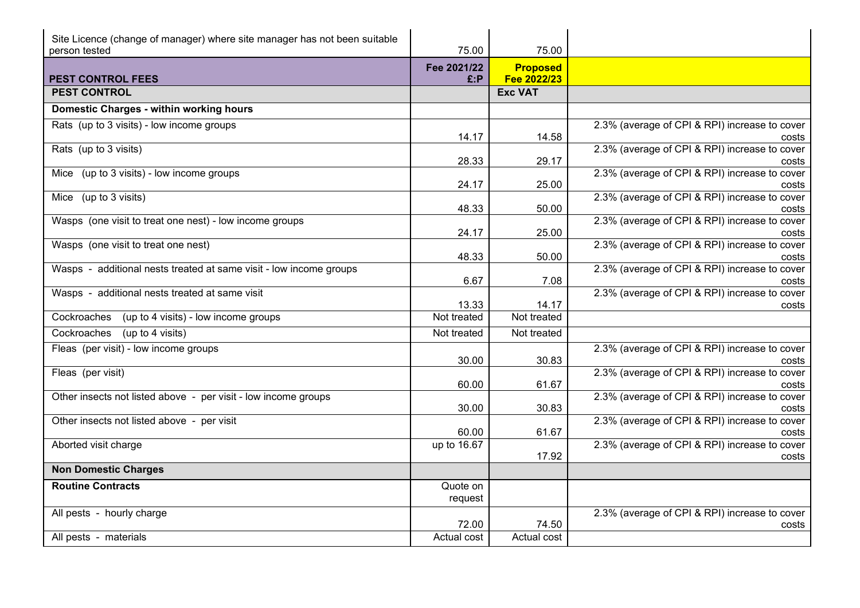| Site Licence (change of manager) where site manager has not been suitable<br>person tested | 75.00               | 75.00           |                                                        |
|--------------------------------------------------------------------------------------------|---------------------|-----------------|--------------------------------------------------------|
|                                                                                            | Fee 2021/22         | <b>Proposed</b> |                                                        |
| <b>PEST CONTROL FEES</b>                                                                   | E: P                | Fee 2022/23     |                                                        |
| <b>PEST CONTROL</b>                                                                        |                     | <b>Exc VAT</b>  |                                                        |
| Domestic Charges - within working hours                                                    |                     |                 |                                                        |
| Rats (up to 3 visits) - low income groups                                                  | 14.17               | 14.58           | 2.3% (average of CPI & RPI) increase to cover<br>costs |
| Rats (up to 3 visits)                                                                      | 28.33               | 29.17           | 2.3% (average of CPI & RPI) increase to cover<br>costs |
| Mice (up to 3 visits) - low income groups                                                  | 24.17               | 25.00           | 2.3% (average of CPI & RPI) increase to cover<br>costs |
| Mice (up to 3 visits)                                                                      | 48.33               | 50.00           | 2.3% (average of CPI & RPI) increase to cover<br>costs |
| Wasps (one visit to treat one nest) - low income groups                                    | 24.17               | 25.00           | 2.3% (average of CPI & RPI) increase to cover<br>costs |
| Wasps (one visit to treat one nest)                                                        | 48.33               | 50.00           | 2.3% (average of CPI & RPI) increase to cover<br>costs |
| Wasps - additional nests treated at same visit - low income groups                         | 6.67                | 7.08            | 2.3% (average of CPI & RPI) increase to cover<br>costs |
| Wasps - additional nests treated at same visit                                             | 13.33               | 14.17           | 2.3% (average of CPI & RPI) increase to cover<br>costs |
| Cockroaches<br>(up to 4 visits) - low income groups                                        | Not treated         | Not treated     |                                                        |
| Cockroaches<br>(up to 4 visits)                                                            | Not treated         | Not treated     |                                                        |
| Fleas (per visit) - low income groups                                                      | 30.00               | 30.83           | 2.3% (average of CPI & RPI) increase to cover<br>costs |
| Fleas (per visit)                                                                          | 60.00               | 61.67           | 2.3% (average of CPI & RPI) increase to cover<br>costs |
| Other insects not listed above - per visit - low income groups                             | 30.00               | 30.83           | 2.3% (average of CPI & RPI) increase to cover<br>costs |
| Other insects not listed above - per visit                                                 | 60.00               | 61.67           | 2.3% (average of CPI & RPI) increase to cover<br>costs |
| Aborted visit charge                                                                       | up to 16.67         | 17.92           | 2.3% (average of CPI & RPI) increase to cover<br>costs |
| <b>Non Domestic Charges</b>                                                                |                     |                 |                                                        |
| <b>Routine Contracts</b>                                                                   | Quote on<br>request |                 |                                                        |
| All pests - hourly charge                                                                  | 72.00               | 74.50           | 2.3% (average of CPI & RPI) increase to cover<br>costs |
| All pests - materials                                                                      | Actual cost         | Actual cost     |                                                        |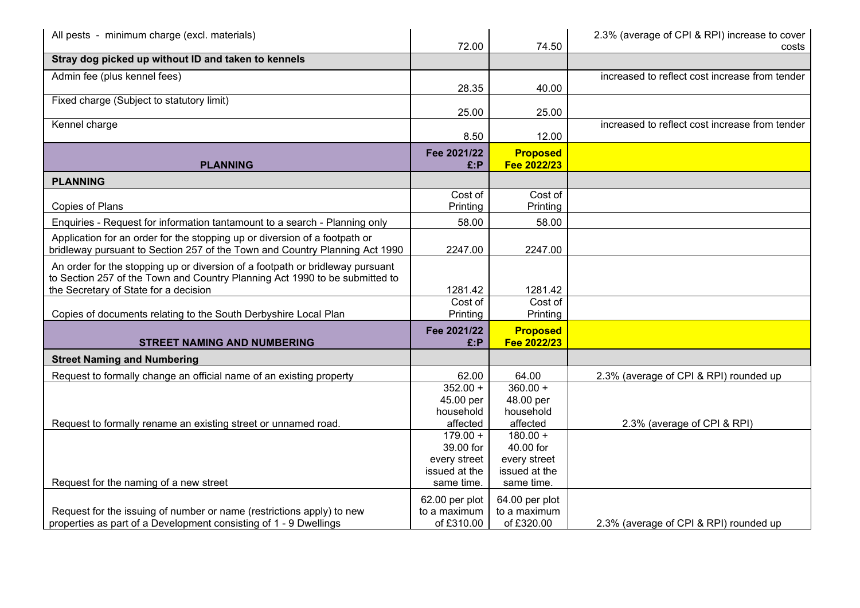| All pests - minimum charge (excl. materials)                                                                                                                                                          | 72.00                                                    | 74.50                                                    | 2.3% (average of CPI & RPI) increase to cover<br>costs |
|-------------------------------------------------------------------------------------------------------------------------------------------------------------------------------------------------------|----------------------------------------------------------|----------------------------------------------------------|--------------------------------------------------------|
| Stray dog picked up without ID and taken to kennels                                                                                                                                                   |                                                          |                                                          |                                                        |
| Admin fee (plus kennel fees)                                                                                                                                                                          | 28.35                                                    | 40.00                                                    | increased to reflect cost increase from tender         |
| Fixed charge (Subject to statutory limit)                                                                                                                                                             | 25.00                                                    | 25.00                                                    |                                                        |
| Kennel charge                                                                                                                                                                                         | 8.50                                                     | 12.00                                                    | increased to reflect cost increase from tender         |
| <b>PLANNING</b>                                                                                                                                                                                       | Fee 2021/22<br>E:P                                       | <b>Proposed</b><br>Fee 2022/23                           |                                                        |
| <b>PLANNING</b>                                                                                                                                                                                       |                                                          |                                                          |                                                        |
| Copies of Plans                                                                                                                                                                                       | Cost of<br>Printing                                      | Cost of<br>Printing                                      |                                                        |
| Enquiries - Request for information tantamount to a search - Planning only                                                                                                                            | 58.00                                                    | 58.00                                                    |                                                        |
| Application for an order for the stopping up or diversion of a footpath or<br>bridleway pursuant to Section 257 of the Town and Country Planning Act 1990                                             | 2247.00                                                  | 2247.00                                                  |                                                        |
| An order for the stopping up or diversion of a footpath or bridleway pursuant<br>to Section 257 of the Town and Country Planning Act 1990 to be submitted to<br>the Secretary of State for a decision | 1281.42                                                  | 1281.42                                                  |                                                        |
| Copies of documents relating to the South Derbyshire Local Plan                                                                                                                                       | Cost of<br>Printing                                      | Cost of<br>Printing                                      |                                                        |
| <b>STREET NAMING AND NUMBERING</b>                                                                                                                                                                    | Fee 2021/22<br>$E$ :P                                    | <b>Proposed</b><br>Fee 2022/23                           |                                                        |
| <b>Street Naming and Numbering</b>                                                                                                                                                                    |                                                          |                                                          |                                                        |
| Request to formally change an official name of an existing property                                                                                                                                   | 62.00                                                    | 64.00                                                    | 2.3% (average of CPI & RPI) rounded up                 |
|                                                                                                                                                                                                       | $352.00 +$<br>45.00 per<br>household                     | $360.00 +$<br>48.00 per<br>household                     |                                                        |
| Request to formally rename an existing street or unnamed road.                                                                                                                                        | affected                                                 | affected                                                 | 2.3% (average of CPI & RPI)                            |
|                                                                                                                                                                                                       | $179.00 +$<br>39.00 for<br>every street<br>issued at the | $180.00 +$<br>40.00 for<br>every street<br>issued at the |                                                        |
| Request for the naming of a new street                                                                                                                                                                | same time.                                               | same time.                                               |                                                        |
| Request for the issuing of number or name (restrictions apply) to new<br>properties as part of a Development consisting of 1 - 9 Dwellings                                                            | 62.00 per plot<br>to a maximum<br>of £310.00             | 64.00 per plot<br>to a maximum<br>of £320.00             | 2.3% (average of CPI & RPI) rounded up                 |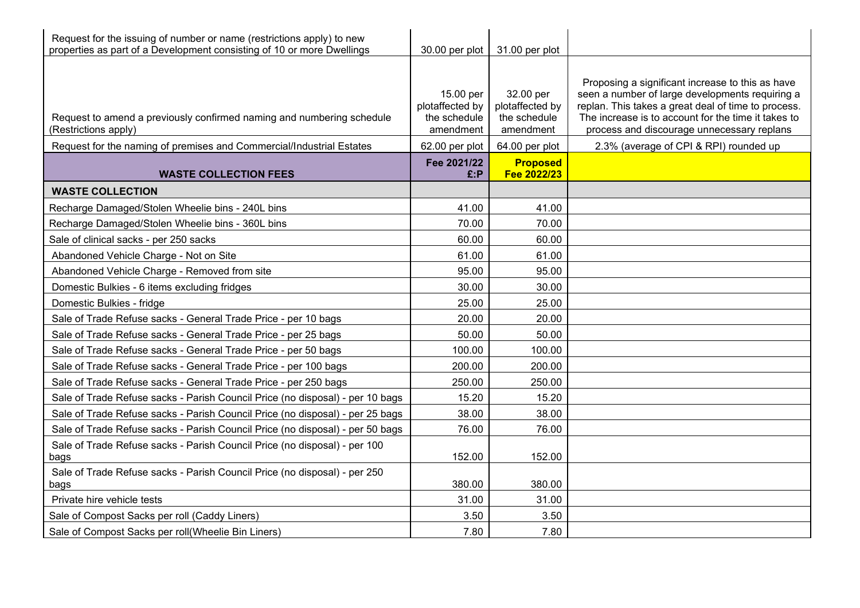| Request for the issuing of number or name (restrictions apply) to new<br>properties as part of a Development consisting of 10 or more Dwellings |                                                           | 30.00 per plot   31.00 per plot                           |                                                                                                                                                                                                                                                                 |
|-------------------------------------------------------------------------------------------------------------------------------------------------|-----------------------------------------------------------|-----------------------------------------------------------|-----------------------------------------------------------------------------------------------------------------------------------------------------------------------------------------------------------------------------------------------------------------|
| Request to amend a previously confirmed naming and numbering schedule<br>(Restrictions apply)                                                   | 15.00 per<br>plotaffected by<br>the schedule<br>amendment | 32.00 per<br>plotaffected by<br>the schedule<br>amendment | Proposing a significant increase to this as have<br>seen a number of large developments requiring a<br>replan. This takes a great deal of time to process.<br>The increase is to account for the time it takes to<br>process and discourage unnecessary replans |
| Request for the naming of premises and Commercial/Industrial Estates                                                                            | 62.00 per plot                                            | 64.00 per plot                                            | 2.3% (average of CPI & RPI) rounded up                                                                                                                                                                                                                          |
| <b>WASTE COLLECTION FEES</b>                                                                                                                    | Fee 2021/22<br>£:P                                        | <b>Proposed</b><br>Fee 2022/23                            |                                                                                                                                                                                                                                                                 |
| <b>WASTE COLLECTION</b>                                                                                                                         |                                                           |                                                           |                                                                                                                                                                                                                                                                 |
| Recharge Damaged/Stolen Wheelie bins - 240L bins                                                                                                | 41.00                                                     | 41.00                                                     |                                                                                                                                                                                                                                                                 |
| Recharge Damaged/Stolen Wheelie bins - 360L bins                                                                                                | 70.00                                                     | 70.00                                                     |                                                                                                                                                                                                                                                                 |
| Sale of clinical sacks - per 250 sacks                                                                                                          | 60.00                                                     | 60.00                                                     |                                                                                                                                                                                                                                                                 |
| Abandoned Vehicle Charge - Not on Site                                                                                                          | 61.00                                                     | 61.00                                                     |                                                                                                                                                                                                                                                                 |
| Abandoned Vehicle Charge - Removed from site                                                                                                    | 95.00                                                     | 95.00                                                     |                                                                                                                                                                                                                                                                 |
| Domestic Bulkies - 6 items excluding fridges                                                                                                    | 30.00                                                     | 30.00                                                     |                                                                                                                                                                                                                                                                 |
| Domestic Bulkies - fridge                                                                                                                       | 25.00                                                     | 25.00                                                     |                                                                                                                                                                                                                                                                 |
| Sale of Trade Refuse sacks - General Trade Price - per 10 bags                                                                                  | 20.00                                                     | 20.00                                                     |                                                                                                                                                                                                                                                                 |
| Sale of Trade Refuse sacks - General Trade Price - per 25 bags                                                                                  | 50.00                                                     | 50.00                                                     |                                                                                                                                                                                                                                                                 |
| Sale of Trade Refuse sacks - General Trade Price - per 50 bags                                                                                  | 100.00                                                    | 100.00                                                    |                                                                                                                                                                                                                                                                 |
| Sale of Trade Refuse sacks - General Trade Price - per 100 bags                                                                                 | 200.00                                                    | 200.00                                                    |                                                                                                                                                                                                                                                                 |
| Sale of Trade Refuse sacks - General Trade Price - per 250 bags                                                                                 | 250.00                                                    | 250.00                                                    |                                                                                                                                                                                                                                                                 |
| Sale of Trade Refuse sacks - Parish Council Price (no disposal) - per 10 bags                                                                   | 15.20                                                     | 15.20                                                     |                                                                                                                                                                                                                                                                 |
| Sale of Trade Refuse sacks - Parish Council Price (no disposal) - per 25 bags                                                                   | 38.00                                                     | 38.00                                                     |                                                                                                                                                                                                                                                                 |
| Sale of Trade Refuse sacks - Parish Council Price (no disposal) - per 50 bags                                                                   | 76.00                                                     | 76.00                                                     |                                                                                                                                                                                                                                                                 |
| Sale of Trade Refuse sacks - Parish Council Price (no disposal) - per 100<br>bags                                                               | 152.00                                                    | 152.00                                                    |                                                                                                                                                                                                                                                                 |
| Sale of Trade Refuse sacks - Parish Council Price (no disposal) - per 250<br>bags                                                               | 380.00                                                    | 380.00                                                    |                                                                                                                                                                                                                                                                 |
| Private hire vehicle tests                                                                                                                      | 31.00                                                     | 31.00                                                     |                                                                                                                                                                                                                                                                 |
| Sale of Compost Sacks per roll (Caddy Liners)                                                                                                   | 3.50                                                      | 3.50                                                      |                                                                                                                                                                                                                                                                 |
| Sale of Compost Sacks per roll(Wheelie Bin Liners)                                                                                              | 7.80                                                      | 7.80                                                      |                                                                                                                                                                                                                                                                 |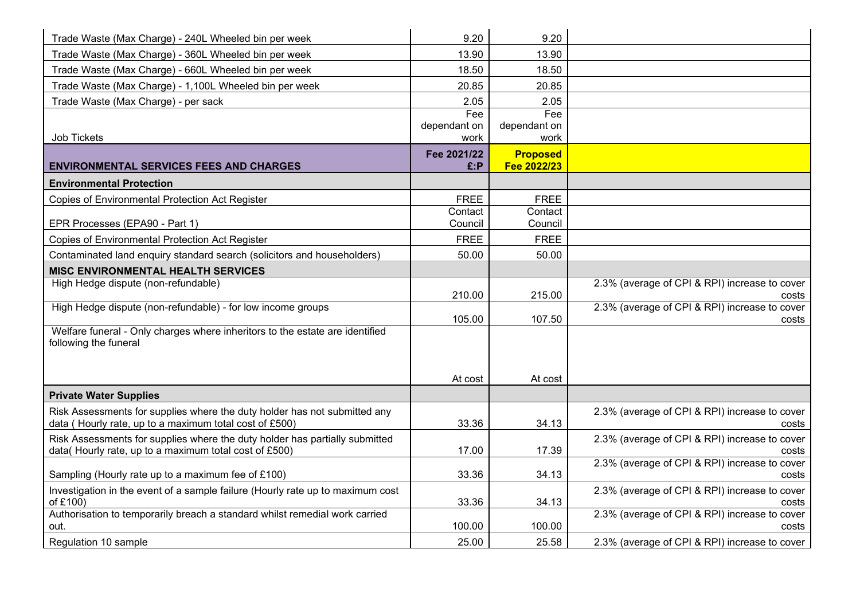| Trade Waste (Max Charge) - 240L Wheeled bin per week                                                                                | 9.20                 | 9.20                 |                                                        |
|-------------------------------------------------------------------------------------------------------------------------------------|----------------------|----------------------|--------------------------------------------------------|
| Trade Waste (Max Charge) - 360L Wheeled bin per week                                                                                | 13.90                | 13.90                |                                                        |
| Trade Waste (Max Charge) - 660L Wheeled bin per week                                                                                | 18.50                | 18.50                |                                                        |
| Trade Waste (Max Charge) - 1,100L Wheeled bin per week                                                                              | 20.85                | 20.85                |                                                        |
| Trade Waste (Max Charge) - per sack                                                                                                 | 2.05                 | 2.05                 |                                                        |
|                                                                                                                                     | Fee                  | Fee                  |                                                        |
| Job Tickets                                                                                                                         | dependant on<br>work | dependant on<br>work |                                                        |
|                                                                                                                                     | Fee 2021/22          | <b>Proposed</b>      |                                                        |
| <b>ENVIRONMENTAL SERVICES FEES AND CHARGES</b>                                                                                      | E: P                 | Fee 2022/23          |                                                        |
| <b>Environmental Protection</b>                                                                                                     |                      |                      |                                                        |
| <b>Copies of Environmental Protection Act Register</b>                                                                              | <b>FREE</b>          | <b>FREE</b>          |                                                        |
|                                                                                                                                     | Contact              | Contact              |                                                        |
| EPR Processes (EPA90 - Part 1)                                                                                                      | Council              | Council              |                                                        |
| <b>Copies of Environmental Protection Act Register</b>                                                                              | <b>FREE</b>          | <b>FREE</b>          |                                                        |
| Contaminated land enquiry standard search (solicitors and householders)                                                             | 50.00                | 50.00                |                                                        |
| <b>MISC ENVIRONMENTAL HEALTH SERVICES</b>                                                                                           |                      |                      |                                                        |
| High Hedge dispute (non-refundable)                                                                                                 | 210.00               | 215.00               | 2.3% (average of CPI & RPI) increase to cover<br>costs |
| High Hedge dispute (non-refundable) - for low income groups                                                                         |                      |                      | 2.3% (average of CPI & RPI) increase to cover          |
|                                                                                                                                     | 105.00               | 107.50               | costs                                                  |
| Welfare funeral - Only charges where inheritors to the estate are identified<br>following the funeral                               |                      |                      |                                                        |
|                                                                                                                                     |                      |                      |                                                        |
|                                                                                                                                     |                      |                      |                                                        |
|                                                                                                                                     | At cost              | At cost              |                                                        |
| <b>Private Water Supplies</b>                                                                                                       |                      |                      |                                                        |
| Risk Assessments for supplies where the duty holder has not submitted any<br>data (Hourly rate, up to a maximum total cost of £500) | 33.36                | 34.13                | 2.3% (average of CPI & RPI) increase to cover<br>costs |
| Risk Assessments for supplies where the duty holder has partially submitted                                                         |                      |                      | 2.3% (average of CPI & RPI) increase to cover          |
| data(Hourly rate, up to a maximum total cost of £500)                                                                               | 17.00                | 17.39                | costs<br>2.3% (average of CPI & RPI) increase to cover |
| Sampling (Hourly rate up to a maximum fee of £100)                                                                                  | 33.36                | 34.13                | costs                                                  |
| Investigation in the event of a sample failure (Hourly rate up to maximum cost<br>of £100)                                          | 33.36                | 34.13                | 2.3% (average of CPI & RPI) increase to cover<br>costs |
| Authorisation to temporarily breach a standard whilst remedial work carried                                                         |                      |                      | 2.3% (average of CPI & RPI) increase to cover          |
| out.                                                                                                                                | 100.00               | 100.00               | costs                                                  |
| Regulation 10 sample                                                                                                                | 25.00                | 25.58                | 2.3% (average of CPI & RPI) increase to cover          |